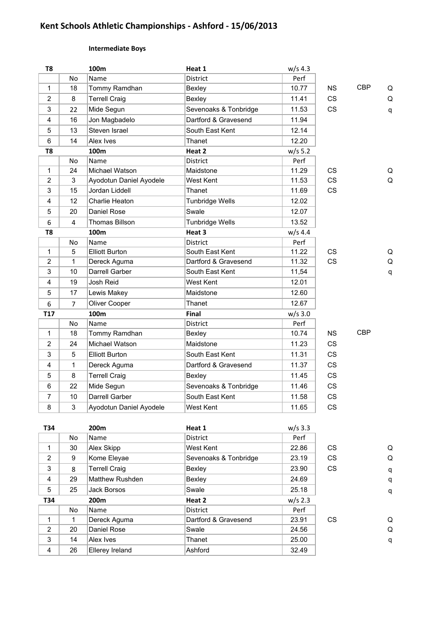# **Kent Schools Athletic Championships - Ashford - 15/06/2013**

# **Intermediate Boys**

| T <sub>8</sub> |                | 100m                    | Heat 1                 | $w/s$ 4.3 |           |            |   |
|----------------|----------------|-------------------------|------------------------|-----------|-----------|------------|---|
|                | No             | Name                    | District               | Perf      |           |            |   |
| $\mathbf{1}$   | 18             | Tommy Ramdhan           | Bexley                 | 10.77     | <b>NS</b> | <b>CBP</b> | Q |
| 2              | 8              | <b>Terrell Craig</b>    | Bexley                 | 11.41     | <b>CS</b> |            | Q |
| 3              | 22             | Mide Segun              | Sevenoaks & Tonbridge  | 11.53     | <b>CS</b> |            | q |
| 4              | 16             | Jon Magbadelo           | Dartford & Gravesend   | 11.94     |           |            |   |
| 5              | 13             | Steven Israel           | South East Kent        | 12.14     |           |            |   |
| 6              | 14             | Alex Ives               | Thanet                 | 12.20     |           |            |   |
| T <sub>8</sub> |                | 100m                    | Heat 2                 | $w/s$ 5.2 |           |            |   |
|                | No             | Name                    | District               | Perf      |           |            |   |
| $\mathbf{1}$   | 24             | Michael Watson          | Maidstone              | 11.29     | <b>CS</b> |            | Q |
| $\overline{2}$ | 3              | Ayodotun Daniel Ayodele | West Kent              | 11.53     | <b>CS</b> |            | Q |
| 3              | 15             | Jordan Liddell          | Thanet                 | 11.69     | <b>CS</b> |            |   |
| 4              | 12             | Charlie Heaton          | <b>Tunbridge Wells</b> | 12.02     |           |            |   |
| 5              | 20             | Daniel Rose             | Swale                  | 12.07     |           |            |   |
| 6              | 4              | Thomas Billson          | <b>Tunbridge Wells</b> | 13.52     |           |            |   |
| T <sub>8</sub> |                | 100m                    | Heat 3                 | $w/s$ 4.4 |           |            |   |
|                | No             | Name                    | District               | Perf      |           |            |   |
| $\mathbf{1}$   | 5              | <b>Elliott Burton</b>   | South East Kent        | 11.22     | <b>CS</b> |            | Q |
| $\overline{2}$ | 1              | Dereck Aguma            | Dartford & Gravesend   | 11.32     | <b>CS</b> |            | Q |
| 3              | 10             | Darrell Garber          | South East Kent        | 11,54     |           |            | q |
| 4              | 19             | Josh Reid               | <b>West Kent</b>       | 12.01     |           |            |   |
| 5              | 17             | Lewis Makey             | Maidstone              | 12.60     |           |            |   |
| 6              | $\overline{7}$ | Oliver Cooper           | Thanet                 | 12.67     |           |            |   |
| T17            |                | 100m                    | Final                  | $w/s$ 3.0 |           |            |   |
|                | <b>No</b>      | Name                    | District               | Perf      |           |            |   |
| $\mathbf{1}$   | 18             | Tommy Ramdhan           | Bexley                 | 10.74     | <b>NS</b> | <b>CBP</b> |   |
| $\overline{2}$ | 24             | Michael Watson          | Maidstone              | 11.23     | <b>CS</b> |            |   |
| 3              | 5              | <b>Elliott Burton</b>   | South East Kent        | 11.31     | <b>CS</b> |            |   |
| 4              | 1              | Dereck Aguma            | Dartford & Gravesend   | 11.37     | <b>CS</b> |            |   |
| 5              | 8              | <b>Terrell Craig</b>    | Bexley                 | 11.45     | <b>CS</b> |            |   |
| 6              | 22             | Mide Segun              | Sevenoaks & Tonbridge  | 11.46     | <b>CS</b> |            |   |
| $\overline{7}$ | 10             | Darrell Garber          | South East Kent        | 11.58     | <b>CS</b> |            |   |
| 8              | 3              | Ayodotun Daniel Ayodele | <b>West Kent</b>       | 11.65     | CS        |            |   |
|                |                |                         |                        |           |           |            |   |

| T34 |     | 200 <sub>m</sub>       | Heat 1                | $w/s$ 3.3 |           |              |
|-----|-----|------------------------|-----------------------|-----------|-----------|--------------|
|     | No  | Name                   | <b>District</b>       | Perf      |           |              |
| 1   | 30  | Alex Skipp             | West Kent             | 22.86     | <b>CS</b> | Q            |
| 2   | 9   | Kome Eleyae            | Sevenoaks & Tonbridge | 23.19     | CS        | Q            |
| 3   | 8   | <b>Terrell Craig</b>   | Bexley                | 23.90     | <b>CS</b> | q            |
| 4   | 29  | <b>Matthew Rushden</b> | Bexley                | 24.69     |           | q            |
| 5   | 25  | Jack Borsos            | Swale                 | 25.18     |           | $\mathsf{q}$ |
| T34 |     | 200 <sub>m</sub>       | Heat 2                | $w/s$ 2.3 |           |              |
|     | No. | Name                   | <b>District</b>       | Perf      |           |              |
| 1   |     | Dereck Aguma           | Dartford & Gravesend  | 23.91     | CS        | Q            |
| 2   | 20  | Daniel Rose            | Swale                 | 24.56     |           | Q            |
| 3   | 14  | Alex Ives              | Thanet                | 25.00     |           | q            |
| 4   | 26  | Ellerey Ireland        | Ashford               | 32.49     |           |              |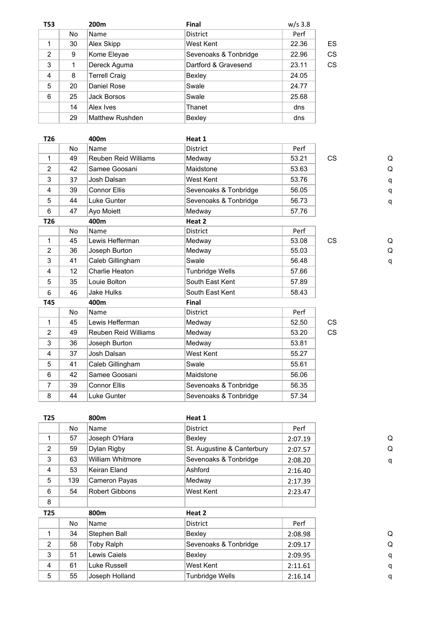| <b>T53</b>     |    | 200 <sub>m</sub>       | <b>Final</b>          | $w/s$ 3.8 |    |
|----------------|----|------------------------|-----------------------|-----------|----|
|                | No | Name                   | District              | Perf      |    |
|                | 30 | Alex Skipp             | West Kent             | 22.36     | ES |
| $\overline{2}$ | 9  | Kome Eleyae            | Sevenoaks & Tonbridge | 22.96     | CS |
| 3              | 1  | Dereck Aguma           | Dartford & Gravesend  | 23.11     | CS |
| 4              | 8  | <b>Terrell Craig</b>   | Bexley                | 24.05     |    |
| 5              | 20 | Daniel Rose            | Swale                 | 24.77     |    |
| 6              | 25 | Jack Borsos            | Swale                 | 25.68     |    |
|                | 14 | Alex Ives              | Thanet                | dns       |    |
|                | 29 | <b>Matthew Rushden</b> | Bexley                | dns       |    |

|           | 400m                        | Heat 1                |       |           |   |
|-----------|-----------------------------|-----------------------|-------|-----------|---|
| <b>No</b> | Name                        | <b>District</b>       | Perf  |           |   |
| 49        | Reuben Reid Williams        | Medway                | 53.21 | <b>CS</b> | Q |
| 42        | Samee Goosani               | Maidstone             | 53.63 |           | Q |
| 37        | Josh Dalsan                 | West Kent             | 53.76 |           | q |
| 39        | <b>Connor Ellis</b>         | Sevenoaks & Tonbridge | 56.05 |           | q |
| 44        | Luke Gunter                 | Sevenoaks & Tonbridge | 56.73 |           | q |
| 47        | Ayo Moiett                  | Medway                | 57.76 |           |   |
|           | 400m                        | Heat 2                |       |           |   |
| <b>No</b> | Name                        | <b>District</b>       | Perf  |           |   |
| 45        | Lewis Hefferman             | Medway                | 53.08 | <b>CS</b> | Q |
| 36        | Joseph Burton               | Medway                | 55.03 |           | Q |
| 41        | Caleb Gillingham            | Swale                 | 56.48 |           | q |
| 12        | Charlie Heaton              | Tunbridge Wells       | 57.66 |           |   |
| 35        | Louie Bolton                | South East Kent       | 57.89 |           |   |
| 46        | <b>Jake Hulks</b>           | South East Kent       | 58.43 |           |   |
|           | 400m                        | Final                 |       |           |   |
| <b>No</b> | Name                        | <b>District</b>       | Perf  |           |   |
| 45        | Lewis Hefferman             | Medway                | 52.50 | <b>CS</b> |   |
| 49        | <b>Reuben Reid Williams</b> | Medway                | 53.20 | <b>CS</b> |   |
| 36        | Joseph Burton               | Medway                | 53.81 |           |   |
| 37        | Josh Dalsan                 | West Kent             | 55.27 |           |   |
| 41        | Caleb Gillingham            | Swale                 | 55.61 |           |   |
| 42        | Samee Goosani               | Maidstone             | 56.06 |           |   |
| 39        | <b>Connor Ellis</b>         | Sevenoaks & Tonbridge | 56.35 |           |   |
| 44        | Luke Gunter                 | Sevenoaks & Tonbridge | 57.34 |           |   |
|           |                             |                       |       |           |   |

No Name District **Perf** 1 57 Joseph O'Hara Bexley Bexley 2:07.19 2 59 Dylan Rigby St. Augustine & Canterbury 2:07.57 3 63 William Whitmore Sevenoaks & Tonbridge 2:08.20 4 53 Keiran Eland Ashford 2:16.40 5 139 Cameron Payas Medway 2:17.39 6 54 Robert Gibbons West Kent 2:23.47

**T25 800m Heat 1**

| ٺ |
|---|
| q |
| q |
|   |

| ر |
|---|
| O |
|   |

| 8               |     |                |                       |         |
|-----------------|-----|----------------|-----------------------|---------|
| T <sub>25</sub> |     | 800m           | Heat 2                |         |
|                 | No. | Name           | <b>District</b>       | Perf    |
|                 | 34  | Stephen Ball   | Bexley                | 2:08.98 |
| $\overline{2}$  | 58  | Toby Ralph     | Sevenoaks & Tonbridge | 2:09.17 |
| 3               | 51  | Lewis Caiels   | Bexley                | 2:09.95 |
| 4               | 61  | Luke Russell   | West Kent             | 2:11.61 |
| 5               | 55  | Joseph Holland | Tunbridge Wells       | 2:16.14 |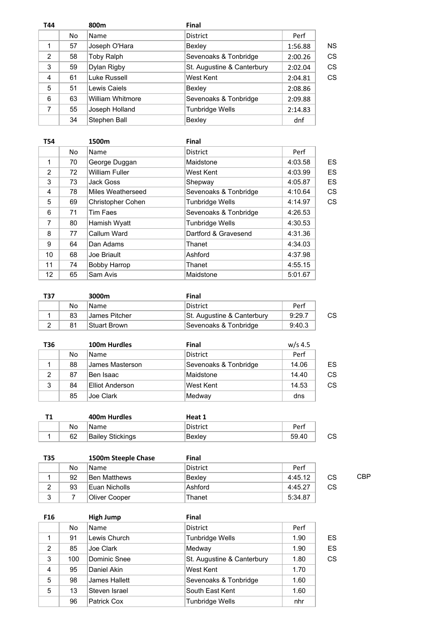| T44 |    | 800m                    | <b>Final</b>               |         |           |
|-----|----|-------------------------|----------------------------|---------|-----------|
|     | No | Name                    | District                   | Perf    |           |
| 1   | 57 | Joseph O'Hara           | Bexley                     | 1:56.88 | <b>NS</b> |
| 2   | 58 | Toby Ralph              | Sevenoaks & Tonbridge      | 2:00.26 | CS        |
| 3   | 59 | Dylan Rigby             | St. Augustine & Canterbury | 2:02.04 | CS        |
| 4   | 61 | Luke Russell            | West Kent                  | 2:04.81 | CS        |
| 5   | 51 | Lewis Caiels            | Bexley                     | 2:08.86 |           |
| 6   | 63 | <b>William Whitmore</b> | Sevenoaks & Tonbridge      | 2:09.88 |           |
| 7   | 55 | Joseph Holland          | Tunbridge Wells            | 2:14.83 |           |
|     | 34 | Stephen Ball            | Bexley                     | dnf     |           |

| <b>T54</b> |    | 1500m                 | Final                  |         |    |
|------------|----|-----------------------|------------------------|---------|----|
|            | No | Name                  | <b>District</b>        | Perf    |    |
| 1          | 70 | George Duggan         | Maidstone              | 4:03.58 | ES |
| 2          | 72 | <b>William Fuller</b> | West Kent              | 4:03.99 | ES |
| 3          | 73 | Jack Goss             | Shepway                | 4:05.87 | ES |
| 4          | 78 | Miles Weatherseed     | Sevenoaks & Tonbridge  | 4:10.64 | CS |
| 5          | 69 | Christopher Cohen     | <b>Tunbridge Wells</b> | 4:14.97 | CS |
| 6          | 71 | Tim Faes              | Sevenoaks & Tonbridge  | 4:26.53 |    |
| 7          | 80 | Hamish Wyatt          | <b>Tunbridge Wells</b> | 4:30.53 |    |
| 8          | 77 | Callum Ward           | Dartford & Gravesend   | 4:31.36 |    |
| 9          | 64 | Dan Adams             | Thanet                 | 4:34.03 |    |
| 10         | 68 | Joe Briault           | Ashford                | 4:37.98 |    |
| 11         | 74 | Bobby Harrop          | Thanet                 | 4:55.15 |    |
| 12         | 65 | Sam Avis              | Maidstone              | 5:01.67 |    |

| T37 |    | 3000m         | Final                      |        |    |
|-----|----|---------------|----------------------------|--------|----|
|     | No | Name          | District                   | Perf   |    |
|     | 83 | James Pitcher | St. Augustine & Canterbury | 9:29.7 | CS |
|     | 81 | Stuart Brown  | Sevenoaks & Tonbridge      | 9:40.3 |    |

| T36 |    | 100m Hurdles           | <b>Final</b>          | $w/s$ 4.5 |    |
|-----|----|------------------------|-----------------------|-----------|----|
|     | No | <b>Name</b>            | <b>District</b>       | Perf      |    |
|     | 88 | James Masterson        | Sevenoaks & Tonbridge | 14.06     | ES |
| 2   | 87 | Ben Isaac              | Maidstone             | 14.40     | CS |
| 3   | 84 | <b>Elliot Anderson</b> | West Kent             | 14.53     | CS |
|     | 85 | Joe Clark              | Medway                | dns       |    |

|    | 400m Hurdles     | Heat 1          |       |    |
|----|------------------|-----------------|-------|----|
| No | 'Name            | <b>District</b> | Perf  |    |
| 62 | Bailey Stickings | Bexlev          | 59.40 | CS |

| T35 |    | 1500m Steeple Chase | Final    |         |    |     |
|-----|----|---------------------|----------|---------|----|-----|
|     | No | <b>Name</b>         | District | Perf    |    |     |
|     | 92 | Ben Matthews        | Bexlev   | 4:45.12 | CS | CBP |
| 2   | 93 | Euan Nicholls       | Ashford  | 4:45.27 | CS |     |
| 3   |    | Oliver Cooper       | Thanet   | 5:34.87 |    |     |

| F <sub>16</sub> |     | <b>High Jump</b> | <b>Final</b>               |      |    |
|-----------------|-----|------------------|----------------------------|------|----|
|                 | No. | <b>Name</b>      | <b>District</b>            | Perf |    |
| 1               | 91  | Lewis Church     | Tunbridge Wells            | 1.90 | ES |
| 2               | 85  | Joe Clark        | Medway                     | 1.90 | ES |
| 3               | 100 | Dominic Snee     | St. Augustine & Canterbury | 1.80 | CS |
| 4               | 95  | Daniel Akin      | West Kent                  | 1.70 |    |
| 5               | 98  | James Hallett    | Sevenoaks & Tonbridge      | 1.60 |    |
| 5               | 13  | Steven Israel    | South East Kent            | 1.60 |    |
|                 | 96  | Patrick Cox      | <b>Tunbridge Wells</b>     | nhr  |    |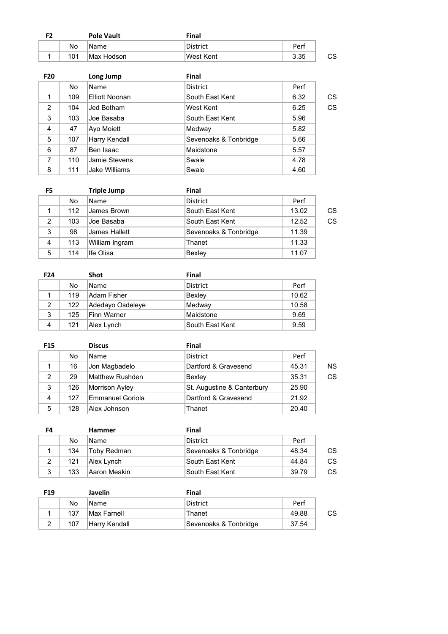| F2 |     | <b>Pole Vault</b> | Final           |      |    |
|----|-----|-------------------|-----------------|------|----|
|    | No  | 'Name             | <b>District</b> | Perf |    |
|    | 101 | Max Hodson        | !West Kent      | 3.35 | CS |

| F <sub>20</sub> |     | Long Jump             | <b>Final</b>          |      |    |
|-----------------|-----|-----------------------|-----------------------|------|----|
|                 | No  | Name                  | <b>District</b>       | Perf |    |
|                 | 109 | <b>Elliott Noonan</b> | South East Kent       | 6.32 | CS |
| 2               | 104 | Jed Botham            | West Kent             | 6.25 | CS |
| 3               | 103 | Joe Basaba            | South East Kent       | 5.96 |    |
| 4               | 47  | Ayo Moiett            | Medway                | 5.82 |    |
| 5               | 107 | Harry Kendall         | Sevenoaks & Tonbridge | 5.66 |    |
| 6               | 87  | Ben Isaac             | Maidstone             | 5.57 |    |
| 7               | 110 | Jamie Stevens         | Swale                 | 4.78 |    |
| 8               | 111 | Jake Williams         | Swale                 | 4.60 |    |

| F5             |     | <b>Triple Jump</b> | <b>Final</b>          |       |    |
|----------------|-----|--------------------|-----------------------|-------|----|
|                | No  | <b>Name</b>        | <b>District</b>       | Perf  |    |
|                | 112 | James Brown        | South East Kent       | 13.02 | CS |
| $\overline{2}$ | 103 | Joe Basaba         | South East Kent       | 12.52 | CS |
| 3              | 98  | James Hallett      | Sevenoaks & Tonbridge | 11.39 |    |
| 4              | 113 | William Ingram     | Thanet                | 11.33 |    |
| 5              | 114 | Ife Olisa          | Bexley                | 11.07 |    |

| F <sub>24</sub> |     | <b>Shot</b>      | Final           |       |
|-----------------|-----|------------------|-----------------|-------|
|                 | No. | <b>Name</b>      | <b>District</b> | Perf  |
|                 | 119 | Adam Fisher      | Bexley          | 10.62 |
| 2               | 122 | Adedayo Osdeleye | Medway          | 10.58 |
| 3               | 125 | Finn Warner      | Maidstone       | 9.69  |
| 4               | 121 | Alex Lynch       | South East Kent | 9.59  |

| <b>F15</b> |     | <b>Discus</b>          | Final                      |       |    |
|------------|-----|------------------------|----------------------------|-------|----|
|            | No  | <b>Name</b>            | <b>District</b>            | Perf  |    |
|            | 16  | Jon Magbadelo          | Dartford & Gravesend       | 45.31 | ΝS |
| 2          | 29  | <b>Matthew Rushden</b> | Bexley                     | 35.31 | CS |
| 3          | 126 | <b>Morrison Ayley</b>  | St. Augustine & Canterbury | 25.90 |    |
| 4          | 127 | Emmanuel Goriola       | Dartford & Gravesend       | 21.92 |    |
| 5          | 128 | Alex Johnson           | Thanet                     | 20.40 |    |

| F4             |     | <b>Hammer</b>      | Final                 |       |    |
|----------------|-----|--------------------|-----------------------|-------|----|
|                | No  | <b>Name</b>        | District              | Perf  |    |
|                | 134 | <b>Toby Redman</b> | Sevenoaks & Tonbridge | 48.34 | CS |
| $\overline{2}$ | 121 | Alex Lynch         | South East Kent       | 44.84 | CS |
| 3              | 133 | Aaron Meakin       | South East Kent       | 39.79 | CS |

| F <sub>19</sub> |     | <b>Javelin</b> | Final                 |       |    |
|-----------------|-----|----------------|-----------------------|-------|----|
|                 | No  | Name           | District              | Perf  |    |
|                 | 137 | Max Farnell    | Thanet                | 49.88 | СS |
|                 | 107 | Harry Kendall  | Sevenoaks & Tonbridge | 37.54 |    |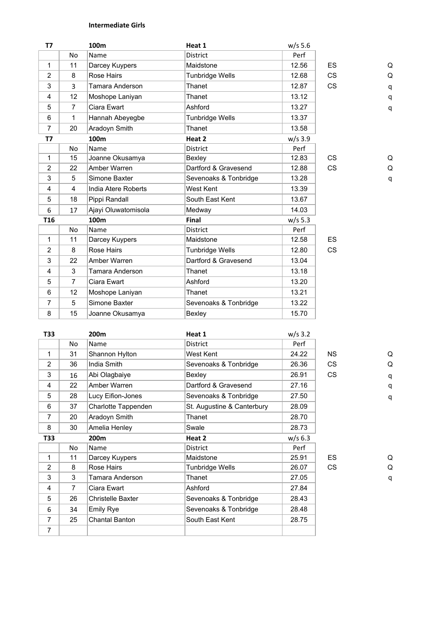# **Intermediate Girls**

|                | 100m                | Heat 1                | $w/s$ 5.6 |           |   |
|----------------|---------------------|-----------------------|-----------|-----------|---|
| No             | Name                | District              | Perf      |           |   |
| 11             | Darcey Kuypers      | Maidstone             | 12.56     | <b>ES</b> | Q |
| 8              | <b>Rose Hairs</b>   | Tunbridge Wells       | 12.68     | <b>CS</b> | Q |
| 3              | Tamara Anderson     | Thanet                | 12.87     | <b>CS</b> | q |
| 12             | Moshope Laniyan     | Thanet                | 13.12     |           | q |
| $\overline{7}$ | Ciara Ewart         | Ashford               | 13.27     |           | q |
| 1              | Hannah Abeyegbe     | Tunbridge Wells       | 13.37     |           |   |
| 20             | Aradoyn Smith       | Thanet                | 13.58     |           |   |
|                | 100m                | Heat 2                | $w/s$ 3.9 |           |   |
| <b>No</b>      | Name                | <b>District</b>       | Perf      |           |   |
| 15             | Joanne Okusamya     | Bexley                | 12.83     | <b>CS</b> | Q |
| 22             | Amber Warren        | Dartford & Gravesend  | 12.88     | <b>CS</b> | Q |
| 5              | Simone Baxter       | Sevenoaks & Tonbridge | 13.28     |           | q |
| 4              | India Atere Roberts | West Kent             | 13.39     |           |   |
| 18             | Pippi Randall       | South East Kent       | 13.67     |           |   |
| 17             | Ajayi Oluwatomisola | Medway                | 14.03     |           |   |
|                | 100m                | Final                 | $w/s$ 5.3 |           |   |
| <b>No</b>      | Name                | <b>District</b>       | Perf      |           |   |
| 11             | Darcey Kuypers      | Maidstone             | 12.58     | <b>ES</b> |   |
| 8              | <b>Rose Hairs</b>   | Tunbridge Wells       | 12.80     | <b>CS</b> |   |
| 22             | Amber Warren        | Dartford & Gravesend  | 13.04     |           |   |
| 3              | Tamara Anderson     | Thanet                | 13.18     |           |   |
| $\overline{7}$ | Ciara Ewart         | Ashford               | 13.20     |           |   |
| 12             | Moshope Laniyan     | Thanet                | 13.21     |           |   |
| 5              | Simone Baxter       | Sevenoaks & Tonbridge | 13.22     |           |   |
| 15             | Joanne Okusamya     | Bexley                | 15.70     |           |   |
|                |                     |                       |           |           |   |

| T33            |     | 200m                     | Heat 1                     | $w/s$ 3.2 |           |   |
|----------------|-----|--------------------------|----------------------------|-----------|-----------|---|
|                | No. | Name                     | <b>District</b>            | Perf      |           |   |
| 1              | 31  | Shannon Hylton           | West Kent                  | 24.22     | <b>NS</b> | Q |
| 2              | 36  | India Smith              | Sevenoaks & Tonbridge      | 26.36     | CS.       | Q |
| 3              | 16  | Abi Olagbaiye            | Bexley                     | 26.91     | <b>CS</b> | q |
| 4              | 22  | Amber Warren             | Dartford & Gravesend       | 27.16     |           | q |
| 5              | 28  | Lucy Eifion-Jones        | Sevenoaks & Tonbridge      | 27.50     |           | q |
| 6              | 37  | Charlotte Tappenden      | St. Augustine & Canterbury | 28.09     |           |   |
| 7              | 20  | Aradoyn Smith            | Thanet                     | 28.70     |           |   |
| 8              | 30  | Amelia Henley            | Swale                      | 28.73     |           |   |
| T33            |     | 200m                     | Heat 2                     | $w/s$ 6.3 |           |   |
|                | No  | Name                     | <b>District</b>            | Perf      |           |   |
| 1              | 11  | Darcey Kuypers           | Maidstone                  | 25.91     | ES.       | Q |
| 2              | 8   | Rose Hairs               | Tunbridge Wells            | 26.07     | <b>CS</b> | Q |
| 3              | 3   | Tamara Anderson          | Thanet                     | 27.05     |           | q |
| 4              | 7   | Ciara Ewart              | Ashford                    | 27.84     |           |   |
| 5              | 26  | <b>Christelle Baxter</b> | Sevenoaks & Tonbridge      | 28.43     |           |   |
| 6              | 34  | <b>Emily Rye</b>         | Sevenoaks & Tonbridge      | 28.48     |           |   |
| $\overline{7}$ | 25  | Chantal Banton           | South East Kent            | 28.75     |           |   |
| $\overline{7}$ |     |                          |                            |           |           |   |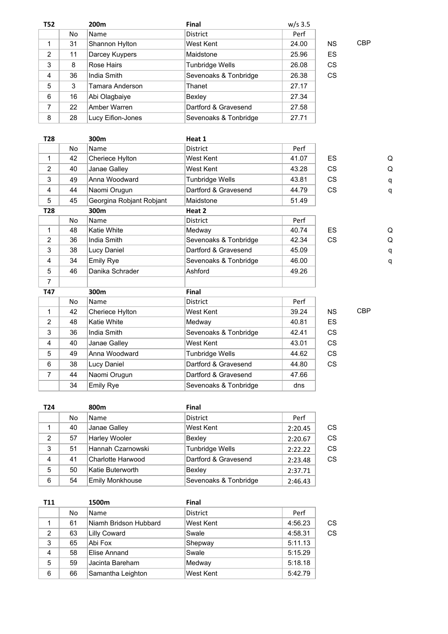| <b>T52</b> |    | 200m              | <b>Final</b>           | $w/s$ 3.5 |           |            |
|------------|----|-------------------|------------------------|-----------|-----------|------------|
|            | No | Name              | <b>District</b>        | Perf      |           |            |
| 1          | 31 | Shannon Hylton    | West Kent              | 24.00     | <b>NS</b> | <b>CBP</b> |
| 2          | 11 | Darcey Kuypers    | Maidstone              | 25.96     | ES        |            |
| 3          | 8  | Rose Hairs        | <b>Tunbridge Wells</b> | 26.08     | <b>CS</b> |            |
| 4          | 36 | India Smith       | Sevenoaks & Tonbridge  | 26.38     | <b>CS</b> |            |
| 5          | 3  | Tamara Anderson   | Thanet                 | 27.17     |           |            |
| 6          | 16 | Abi Olagbaiye     | Bexley                 | 27.34     |           |            |
| 7          | 22 | Amber Warren      | Dartford & Gravesend   | 27.58     |           |            |
| 8          | 28 | Lucy Eifion-Jones | Sevenoaks & Tonbridge  | 27.71     |           |            |

| T28            |           | 300m                     | Heat 1                 |       |           |            |   |
|----------------|-----------|--------------------------|------------------------|-------|-----------|------------|---|
|                | <b>No</b> | Name                     | <b>District</b>        | Perf  |           |            |   |
| 1              | 42        | Cheriece Hylton          | West Kent              | 41.07 | <b>ES</b> |            | Q |
| $\overline{2}$ | 40        | Janae Galley             | West Kent              | 43.28 | <b>CS</b> |            | Q |
| 3              | 49        | Anna Woodward            | <b>Tunbridge Wells</b> | 43.81 | <b>CS</b> |            | q |
| 4              | 44        | Naomi Orugun             | Dartford & Gravesend   | 44.79 | <b>CS</b> |            | q |
| 5              | 45        | Georgina Robjant Robjant | Maidstone              | 51.49 |           |            |   |
| T28            |           | 300m                     | Heat 2                 |       |           |            |   |
|                | <b>No</b> | Name                     | <b>District</b>        | Perf  |           |            |   |
| 1              | 48        | Katie White              | Medway                 | 40.74 | <b>ES</b> |            | Q |
| 2              | 36        | India Smith              | Sevenoaks & Tonbridge  | 42.34 | <b>CS</b> |            | Q |
| 3              | 38        | Lucy Daniel              | Dartford & Gravesend   | 45.09 |           |            | q |
| 4              | 34        | <b>Emily Rye</b>         | Sevenoaks & Tonbridge  | 46.00 |           |            | q |
| 5              | 46        | Danika Schrader          | Ashford                | 49.26 |           |            |   |
| $\overline{7}$ |           |                          |                        |       |           |            |   |
| T47            |           | 300m                     | Final                  |       |           |            |   |
|                | <b>No</b> | Name                     | <b>District</b>        | Perf  |           |            |   |
| 1              | 42        | Cheriece Hylton          | West Kent              | 39.24 | <b>NS</b> | <b>CBP</b> |   |
| $\overline{2}$ | 48        | <b>Katie White</b>       | Medway                 | 40.81 | <b>ES</b> |            |   |
| 3              | 36        | India Smith              | Sevenoaks & Tonbridge  | 42.41 | <b>CS</b> |            |   |
| 4              | 40        | Janae Galley             | West Kent              | 43.01 | <b>CS</b> |            |   |
| 5              | 49        | Anna Woodward            | Tunbridge Wells        | 44.62 | <b>CS</b> |            |   |
| 6              | 38        | Lucy Daniel              | Dartford & Gravesend   | 44.80 | <b>CS</b> |            |   |
| $\overline{7}$ | 44        | Naomi Orugun             | Dartford & Gravesend   | 47.66 |           |            |   |
|                | 34        | <b>Emily Rye</b>         | Sevenoaks & Tonbridge  | dns   |           |            |   |

| T <sub>24</sub> |    | 800m                   | <b>Final</b>           |         |    |
|-----------------|----|------------------------|------------------------|---------|----|
|                 | No | <b>Name</b>            | <b>District</b>        | Perf    |    |
|                 | 40 | Janae Galley           | West Kent              | 2:20.45 | CS |
| $\overline{2}$  | 57 | <b>Harley Wooler</b>   | Bexley                 | 2:20.67 | CS |
| 3               | 51 | Hannah Czarnowski      | <b>Tunbridge Wells</b> | 2:22.22 | CS |
| 4               | 41 | Charlotte Harwood      | Dartford & Gravesend   | 2:23.48 | CS |
| 5               | 50 | Katie Buterworth       | Bexley                 | 2:37.71 |    |
| 6               | 54 | <b>Emily Monkhouse</b> | Sevenoaks & Tonbridge  | 2:46.43 |    |

| <b>T11</b>     |     | 1500m                 | <b>Final</b>    |         |    |
|----------------|-----|-----------------------|-----------------|---------|----|
|                | No. | <b>Name</b>           | <b>District</b> | Perf    |    |
|                | 61  | Niamh Bridson Hubbard | West Kent       | 4:56.23 | CS |
| $\overline{2}$ | 63  | <b>Lilly Coward</b>   | Swale           | 4:58.31 | CS |
| 3              | 65  | Abi Fox               | Shepway         | 5:11.13 |    |
| 4              | 58  | Elise Annand          | Swale           | 5:15.29 |    |
| 5              | 59  | Jacinta Bareham       | Medway          | 5:18.18 |    |
| 6              | 66  | Samantha Leighton     | West Kent       | 5:42.79 |    |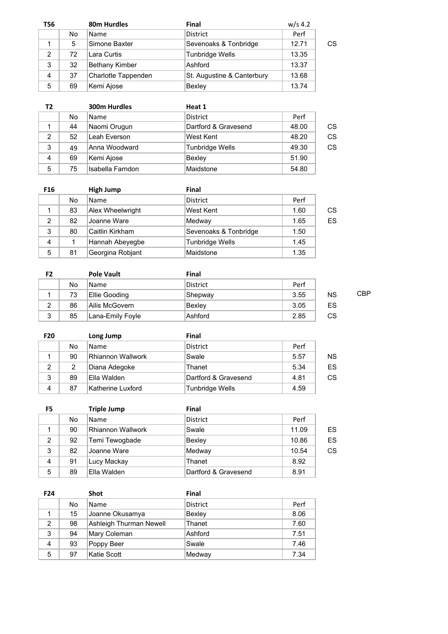| <b>T56</b>     |    | 80m Hurdles           | <b>Final</b>               | $w/s$ 4.2 |    |
|----------------|----|-----------------------|----------------------------|-----------|----|
|                | No | <b>Name</b>           | <b>District</b>            | Perf      |    |
|                | 5  | Simone Baxter         | Sevenoaks & Tonbridge      | 12.71     | CS |
| $\overline{2}$ | 72 | Lara Curtis           | <b>Tunbridge Wells</b>     | 13.35     |    |
| 3              | 32 | <b>Bethany Kimber</b> | Ashford                    | 13.37     |    |
| 4              | 37 | Charlotte Tappenden   | St. Augustine & Canterbury | 13.68     |    |
| 5              | 69 | Kemi Ajose            | Bexley                     | 13.74     |    |

| Т2             |    | <b>300m Hurdles</b> | Heat 1                 |       |    |
|----------------|----|---------------------|------------------------|-------|----|
|                | No | <b>Name</b>         | <b>District</b>        | Perf  |    |
|                | 44 | Naomi Orugun        | Dartford & Gravesend   | 48.00 | CS |
| $\overline{2}$ | 52 | Leah Everson        | West Kent              | 48.20 | CS |
| 3              | 49 | Anna Woodward       | <b>Tunbridge Wells</b> | 49.30 | CS |
| 4              | 69 | Kemi Ajose          | Bexley                 | 51.90 |    |
| 5              | 75 | Isabella Farndon    | Maidstone              | 54.80 |    |

| F <sub>16</sub> |    | <b>High Jump</b> | <b>Final</b>           |      |    |
|-----------------|----|------------------|------------------------|------|----|
|                 | No | Name             | <b>District</b>        | Perf |    |
|                 | 83 | Alex Wheelwright | West Kent              | 1.60 | CS |
| 2               | 82 | Joanne Ware      | Medway                 | 1.65 | ES |
| 3               | 80 | Caitlin Kirkham  | Sevenoaks & Tonbridge  | 1.50 |    |
| 4               |    | Hannah Abeyegbe  | <b>Tunbridge Wells</b> | 1.45 |    |
| 5               | 81 | Georgina Robjant | Maidstone              | 1.35 |    |

| F2 |    | <b>Pole Vault</b> | Final    |      |           |     |
|----|----|-------------------|----------|------|-----------|-----|
|    | No | <b>Name</b>       | District | Perf |           |     |
|    | 73 | Ellie Gooding     | Shepway  | 3.55 | <b>NS</b> | CBP |
| 2  | 86 | Ailis McGovern    | Bexley   | 3.05 | ES        |     |
| 3  | 85 | Lana-Emily Foyle  | Ashford  | 2.85 | CS        |     |

| <b>F20</b>     |    | Long Jump         | Final                |      |    |
|----------------|----|-------------------|----------------------|------|----|
|                | No | <b>Name</b>       | <b>District</b>      | Perf |    |
|                | 90 | Rhiannon Wallwork | Swale                | 5.57 | ΝS |
| $\overline{2}$ | 2  | Diana Adegoke     | Thanet               | 5.34 | ES |
| 3              | 89 | Ella Walden       | Dartford & Gravesend | 4.81 | CS |
| 4              | 87 | Katherine Luxford | Tunbridge Wells      | 4.59 |    |

| F5             |    | <b>Triple Jump</b>       | <b>Final</b>         |       |    |
|----------------|----|--------------------------|----------------------|-------|----|
|                | No | <b>Name</b>              | <b>District</b>      | Perf  |    |
|                | 90 | <b>Rhiannon Wallwork</b> | Swale                | 11.09 | ES |
| 2              | 92 | Temi Tewogbade           | Bexley               | 10.86 | ES |
| 3              | 82 | Joanne Ware              | Medway               | 10.54 | CS |
| $\overline{4}$ | 91 | Lucy Mackay              | Thanet               | 8.92  |    |
| 5              | 89 | Ella Walden              | Dartford & Gravesend | 8.91  |    |

| F <sub>24</sub> |     | <b>Shot</b>             | Final           |      |
|-----------------|-----|-------------------------|-----------------|------|
|                 | No. | <b>Name</b>             | <b>District</b> | Perf |
|                 | 15  | Joanne Okusamya         | Bexley          | 8.06 |
| 2               | 98  | Ashleigh Thurman Newell | Thanet          | 7.60 |
| 3               | 94  | Mary Coleman            | Ashford         | 7.51 |
| 4               | 93  | Poppy Beer              | Swale           | 7.46 |
| 5               | 97  | Katie Scott             | Medway          | 7.34 |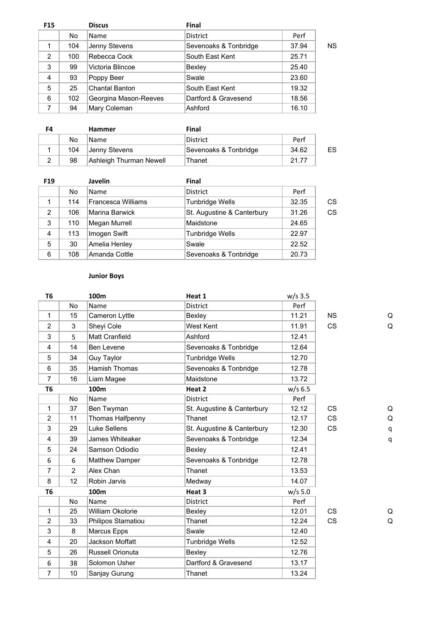| <b>F15</b> |     | <b>Discus</b>         | <b>Final</b>          |       |    |
|------------|-----|-----------------------|-----------------------|-------|----|
|            | No. | Name                  | <b>District</b>       | Perf  |    |
|            | 104 | Jenny Stevens         | Sevenoaks & Tonbridge | 37.94 | NS |
| 2          | 100 | Rebecca Cock          | South East Kent       | 25.71 |    |
| 3          | 99  | Victoria Blincoe      | Bexley                | 25.40 |    |
| 4          | 93  | Poppy Beer            | Swale                 | 23.60 |    |
| 5          | 25  | <b>Chantal Banton</b> | South East Kent       | 19.32 |    |
| 6          | 102 | Georgina Mason-Reeves | Dartford & Gravesend  | 18.56 |    |
|            | 94  | Mary Coleman          | Ashford               | 16.10 |    |
|            |     |                       |                       |       |    |

| F4 |     | <b>Hammer</b>           | Final                 |       |    |
|----|-----|-------------------------|-----------------------|-------|----|
|    | No  | <b>Name</b>             | District              | Perf  |    |
|    | 104 | Jenny Stevens           | Sevenoaks & Tonbridge | 34.62 | ES |
|    | 98  | Ashleigh Thurman Newell | Thanet                | 21.77 |    |

| F <sub>19</sub> |     | <b>Javelin</b>            | <b>Final</b>               |       |    |
|-----------------|-----|---------------------------|----------------------------|-------|----|
|                 | No  | <b>Name</b>               | <b>District</b>            | Perf  |    |
| 1               | 114 | <b>Francesca Williams</b> | <b>Tunbridge Wells</b>     | 32.35 | CS |
| 2               | 106 | <b>Marina Barwick</b>     | St. Augustine & Canterbury | 31.26 | CS |
| 3               | 110 | Megan Murrell             | Maidstone                  | 24.65 |    |
| 4               | 113 | Imogen Swift              | <b>Tunbridge Wells</b>     | 22.97 |    |
| 5               | 30  | Amelia Henley             | Swale                      | 22.52 |    |
| 6               | 108 | Amanda Cottle             | Sevenoaks & Tonbridge      | 20.73 |    |

### **Junior Boys**

|                | 100m               | Heat 1                     | $w/s$ 3.5 |           |   |
|----------------|--------------------|----------------------------|-----------|-----------|---|
| <b>No</b>      | Name               | <b>District</b>            | Perf      |           |   |
| 15             | Cameron Lyttle     | Bexley                     | 11.21     | <b>NS</b> | Q |
| 3              | Sheyi Cole         | West Kent                  | 11.91     | <b>CS</b> | Q |
| 5              | Matt Cranfield     | Ashford                    | 12.41     |           |   |
| 14             | Ben Levene         | Sevenoaks & Tonbridge      | 12.64     |           |   |
| 34             | <b>Guy Taylor</b>  | <b>Tunbridge Wells</b>     | 12.70     |           |   |
| 35             | Hamish Thomas      | Sevenoaks & Tonbridge      | 12.78     |           |   |
| 16             | Liam Magee         | Maidstone                  | 13.72     |           |   |
|                | 100m               | Heat 2                     | $w/s$ 6.5 |           |   |
| No             | Name               | <b>District</b>            | Perf      |           |   |
| 37             | Ben Twyman         | St. Augustine & Canterbury | 12.12     | <b>CS</b> | Q |
| 11             | Thomas Halfpenny   | Thanet                     | 12.17     | <b>CS</b> | Q |
| 29             | Luke Sellens       | St. Augustine & Canterbury | 12.30     | <b>CS</b> | q |
| 39             | James Whiteaker    | Sevenoaks & Tonbridge      | 12.34     |           | q |
| 24             | Samson Odiodio     | Bexley                     | 12.41     |           |   |
| 6              | Matthew Damper     | Sevenoaks & Tonbridge      | 12.78     |           |   |
| $\overline{2}$ | Alex Chan          | Thanet                     | 13.53     |           |   |
| 12             | Robin Jarvis       | Medway                     | 14.07     |           |   |
|                | 100m               | Heat 3                     | $w/s$ 5.0 |           |   |
| <b>No</b>      | Name               | <b>District</b>            | Perf      |           |   |
| 25             | William Okolorie   | Bexley                     | 12.01     | <b>CS</b> | Q |
| 33             | Philipos Stamatiou | Thanet                     | 12.24     | <b>CS</b> | Q |
| 8              | Marcus Epps        | Swale                      | 12.40     |           |   |
| 20             | Jackson Moffatt    | <b>Tunbridge Wells</b>     | 12.52     |           |   |
| 26             | Russell Orionuta   | Bexley                     | 12.76     |           |   |
| 38             | Solomon Usher      | Dartford & Gravesend       | 13.17     |           |   |
| 10             | Sanjay Gurung      | Thanet                     | 13.24     |           |   |
|                |                    |                            |           |           |   |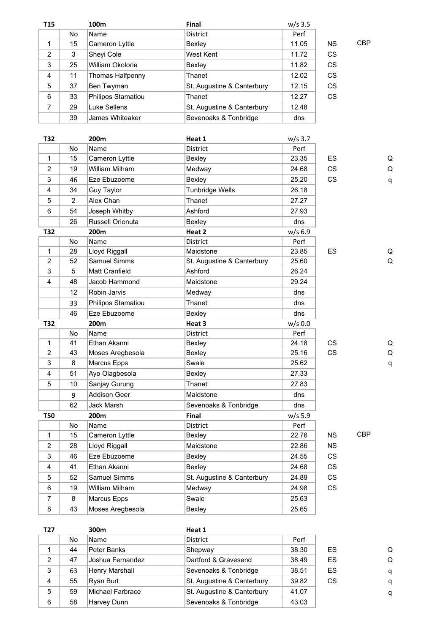| <b>T15</b> |    | 100m               | <b>Final</b>               | $w/s$ 3.5 |           |            |
|------------|----|--------------------|----------------------------|-----------|-----------|------------|
|            | No | Name               | <b>District</b>            | Perf      |           |            |
| 1          | 15 | Cameron Lyttle     | Bexley                     | 11.05     | ΝS        | <b>CBP</b> |
| 2          | 3  | Sheyi Cole         | West Kent                  | 11.72     | <b>CS</b> |            |
| 3          | 25 | William Okolorie   | Bexley                     | 11.82     | <b>CS</b> |            |
| 4          | 11 | Thomas Halfpenny   | Thanet                     | 12.02     | <b>CS</b> |            |
| 5          | 37 | Ben Twyman         | St. Augustine & Canterbury | 12.15     | <b>CS</b> |            |
| 6          | 33 | Philipos Stamatiou | Thanet                     | 12.27     | <b>CS</b> |            |
| 7          | 29 | Luke Sellens       | St. Augustine & Canterbury | 12.48     |           |            |
|            | 39 | James Whiteaker    | Sevenoaks & Tonbridge      | dns       |           |            |

| T32            |                | 200m                  | Heat 1                     | $w/s$ 3.7 |           |            |              |
|----------------|----------------|-----------------------|----------------------------|-----------|-----------|------------|--------------|
|                | <b>No</b>      | Name                  | <b>District</b>            | Perf      |           |            |              |
| $\mathbf{1}$   | 15             | Cameron Lyttle        | Bexley                     | 23.35     | <b>ES</b> |            | Q            |
| $\overline{2}$ | 19             | William Milham        | Medway                     | 24.68     | <b>CS</b> |            | Q            |
| $\mathsf 3$    | 46             | Eze Ebuzoeme          | Bexley                     | 25.20     | <b>CS</b> |            | $\mathsf{q}$ |
| 4              | 34             | <b>Guy Taylor</b>     | <b>Tunbridge Wells</b>     | 26.18     |           |            |              |
| 5              | $\overline{2}$ | Alex Chan             | Thanet                     | 27.27     |           |            |              |
| 6              | 54             | Joseph Whitby         | Ashford                    | 27.93     |           |            |              |
|                | 26             | Russell Orionuta      | Bexley                     | dns       |           |            |              |
| T32            |                | 200m                  | Heat 2                     | $w/s$ 6.9 |           |            |              |
|                | No             | Name                  | District                   | Perf      |           |            |              |
| $\mathbf{1}$   | 28             | Lloyd Riggall         | Maidstone                  | 23.85     | ES        |            | Q            |
| $\overline{2}$ | 52             | Samuel Simms          | St. Augustine & Canterbury | 25.60     |           |            | Q            |
| 3              | 5              | <b>Matt Cranfield</b> | Ashford                    | 26.24     |           |            |              |
| 4              | 48             | Jacob Hammond         | Maidstone                  | 29.24     |           |            |              |
|                | 12             | Robin Jarvis          | Medway                     | dns       |           |            |              |
|                | 33             | Philipos Stamatiou    | Thanet                     | dns       |           |            |              |
|                | 46             | Eze Ebuzoeme          | Bexley                     | dns       |           |            |              |
| T32            |                | 200m                  | Heat 3                     | $w/s$ 0.0 |           |            |              |
|                | <b>No</b>      | Name                  | <b>District</b>            | Perf      |           |            |              |
| $\mathbf{1}$   | 41             | Ethan Akanni          | Bexley                     | 24.18     | CS        |            | Q            |
| $\overline{2}$ | 43             | Moses Aregbesola      | Bexley                     | 25.16     | <b>CS</b> |            | Q            |
| 3              | 8              | Marcus Epps           | Swale                      | 25.62     |           |            | q            |
| 4              | 51             | Ayo Olagbesola        | Bexley                     | 27.33     |           |            |              |
| 5              | 10             | Sanjay Gurung         | Thanet                     | 27.83     |           |            |              |
|                | 9              | <b>Addison Geer</b>   | Maidstone                  | dns       |           |            |              |
|                | 62             | Jack Marsh            | Sevenoaks & Tonbridge      | dns       |           |            |              |
| <b>T50</b>     |                | 200m                  | <b>Final</b>               | $w/s$ 5.9 |           |            |              |
|                | No             | Name                  | District                   | Perf      |           |            |              |
| $\mathbf{1}$   | 15             | Cameron Lyttle        | Bexley                     | 22.76     | <b>NS</b> | <b>CBP</b> |              |
| 2              | 28             | Lloyd Riggall         | Maidstone                  | 22.86     | <b>NS</b> |            |              |
| 3              | 46             | Eze Ebuzoeme          | Bexley                     | 24.55     | <b>CS</b> |            |              |
| $\overline{4}$ | 41             | Ethan Akanni          | Bexley                     | 24.68     | <b>CS</b> |            |              |
| 5              | 52             | <b>Samuel Simms</b>   | St. Augustine & Canterbury | 24.89     | CS        |            |              |
| 6              | 19             | William Milham        | Medway                     | 24.98     | <b>CS</b> |            |              |
| $\overline{7}$ | 8              | Marcus Epps           | Swale                      | 25.63     |           |            |              |
| 8              | 43             | Moses Aregbesola      | Bexley                     | 25.65     |           |            |              |

**T27 300m Heat 1** No Name District Perf 1 | 44 |Peter Banks | Shepway | 38.30 | ES Q 2 47 Joshua Fernandez Dartford & Gravesend 38.49 ES Q 3 63 Henry Marshall Sevenoaks & Tonbridge 38.51 ES q 4 55 Ryan Burt St. Augustine & Canterbury 39.82 CS q 5 59 Michael Farbrace St. Augustine & Canterbury 41.07 q 6 58 Harvey Dunn Sevenoaks & Tonbridge 43.03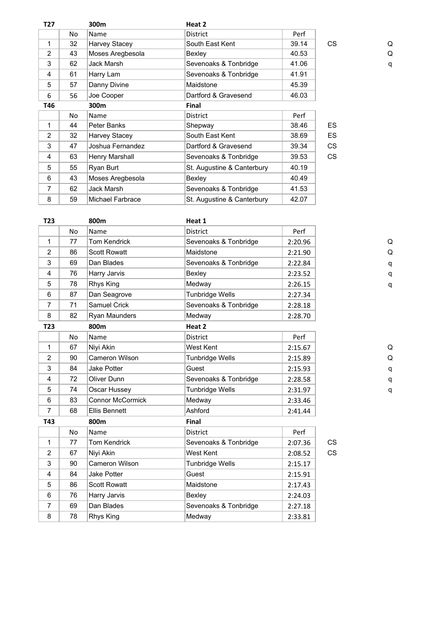| T27            |    | 300m                    | Heat 2                     |       |           |   |
|----------------|----|-------------------------|----------------------------|-------|-----------|---|
|                | No | Name                    | <b>District</b>            | Perf  |           |   |
| 1              | 32 | Harvey Stacey           | South East Kent            | 39.14 | <b>CS</b> | Q |
| $\overline{2}$ | 43 | Moses Aregbesola        | Bexley                     | 40.53 |           | Q |
| 3              | 62 | Jack Marsh              | Sevenoaks & Tonbridge      | 41.06 |           | q |
| 4              | 61 | Harry Lam               | Sevenoaks & Tonbridge      | 41.91 |           |   |
| 5              | 57 | Danny Divine            | Maidstone                  | 45.39 |           |   |
| 6              | 56 | Joe Cooper              | Dartford & Gravesend       | 46.03 |           |   |
| T46            |    | 300m                    | <b>Final</b>               |       |           |   |
|                | No | Name                    | <b>District</b>            | Perf  |           |   |
| 1              | 44 | Peter Banks             | Shepway                    | 38.46 | ES.       |   |
| $\overline{2}$ | 32 | Harvey Stacey           | South East Kent            | 38.69 | <b>ES</b> |   |
| 3              | 47 | Joshua Fernandez        | Dartford & Gravesend       | 39.34 | CS.       |   |
| 4              | 63 | Henry Marshall          | Sevenoaks & Tonbridge      | 39.53 | <b>CS</b> |   |
| 5              | 55 | Ryan Burt               | St. Augustine & Canterbury | 40.19 |           |   |
| 6              | 43 | Moses Aregbesola        | Bexley                     | 40.49 |           |   |
| 7              | 62 | Jack Marsh              | Sevenoaks & Tonbridge      | 41.53 |           |   |
| 8              | 59 | <b>Michael Farbrace</b> | St. Augustine & Canterbury | 42.07 |           |   |
|                |    |                         |                            |       |           |   |

| T <sub>23</sub> |           | 800m                    | Heat 1                 |         |           |   |
|-----------------|-----------|-------------------------|------------------------|---------|-----------|---|
|                 | <b>No</b> | Name                    | <b>District</b>        | Perf    |           |   |
| 1               | 77        | <b>Tom Kendrick</b>     | Sevenoaks & Tonbridge  | 2:20.96 |           | Q |
| $\overline{2}$  | 86        | <b>Scott Rowatt</b>     | Maidstone              | 2:21.90 |           | Q |
| 3               | 69        | Dan Blades              | Sevenoaks & Tonbridge  | 2:22.84 |           | q |
| 4               | 76        | Harry Jarvis            | Bexley                 | 2:23.52 |           | q |
| 5               | 78        | Rhys King               | Medway                 | 2:26.15 |           | q |
| 6               | 87        | Dan Seagrove            | <b>Tunbridge Wells</b> | 2:27.34 |           |   |
| $\overline{7}$  | 71        | Samuel Crick            | Sevenoaks & Tonbridge  | 2:28.18 |           |   |
| 8               | 82        | Ryan Maunders           | Medway                 | 2:28.70 |           |   |
| T23             |           | 800m                    | Heat 2                 |         |           |   |
|                 | <b>No</b> | Name                    | <b>District</b>        | Perf    |           |   |
| 1               | 67        | Niyi Akin               | West Kent              | 2:15.67 |           | Q |
| $\overline{2}$  | 90        | Cameron Wilson          | <b>Tunbridge Wells</b> | 2:15.89 |           | Q |
| 3               | 84        | <b>Jake Potter</b>      | Guest                  | 2:15.93 |           | q |
| 4               | 72        | Oliver Dunn             | Sevenoaks & Tonbridge  | 2:28.58 |           | q |
| 5               | 74        | Oscar Hussey            | <b>Tunbridge Wells</b> | 2:31.97 |           | q |
| 6               | 83        | <b>Connor McCormick</b> | Medway                 | 2:33.46 |           |   |
| 7               | 68        | <b>Ellis Bennett</b>    | Ashford                | 2:41.44 |           |   |
| T43             |           | 800m                    | Final                  |         |           |   |
|                 | <b>No</b> | Name                    | <b>District</b>        | Perf    |           |   |
| 1               | 77        | <b>Tom Kendrick</b>     | Sevenoaks & Tonbridge  | 2:07.36 | CS        |   |
| 2               | 67        | Niyi Akin               | West Kent              | 2:08.52 | <b>CS</b> |   |
| 3               | 90        | Cameron Wilson          | <b>Tunbridge Wells</b> | 2:15.17 |           |   |
| 4               | 84        | <b>Jake Potter</b>      | Guest                  | 2:15.91 |           |   |
| 5               | 86        | <b>Scott Rowatt</b>     | Maidstone              | 2:17.43 |           |   |
| 6               | 76        | Harry Jarvis            | Bexley                 | 2:24.03 |           |   |
| 7               | 69        | Dan Blades              | Sevenoaks & Tonbridge  | 2:27.18 |           |   |
| 8               | 78        | Rhys King               | Medway                 | 2:33.81 |           |   |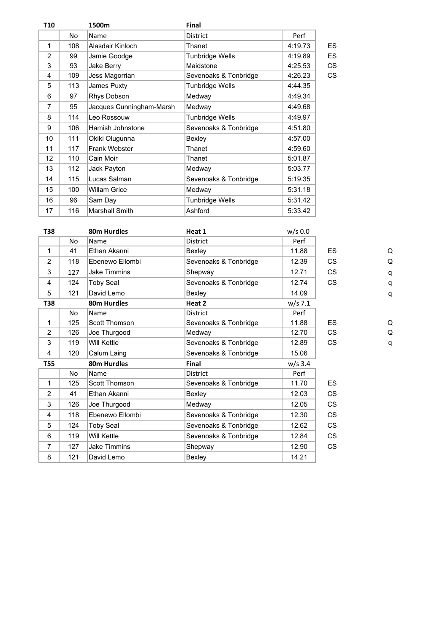| Perf<br>4:19.73<br>4:19.89 | ES |
|----------------------------|----|
|                            |    |
|                            |    |
|                            | ES |
| 4:25.53                    | CS |
| 4:26.23                    | CS |
| 4:44.35                    |    |
| 4:49.34                    |    |
| 4:49.68                    |    |
| 4:49.97                    |    |
| 4:51.80                    |    |
| 4:57.00                    |    |
| 4:59.60                    |    |
| 5:01.87                    |    |
| 5:03.77                    |    |
| 5:19.35                    |    |
| 5:31.18                    |    |
| 5:31.42                    |    |
| 5:33.42                    |    |
|                            |    |

| <b>T38</b> |           | 80m Hurdles         | Heat 1                | $w/s$ 0.0 |           |   |
|------------|-----------|---------------------|-----------------------|-----------|-----------|---|
|            | No        | Name                | <b>District</b>       | Perf      |           |   |
| 1          | 41        | Ethan Akanni        | Bexley                | 11.88     | <b>ES</b> | Q |
| 2          | 118       | Ebenewo Ellombi     | Sevenoaks & Tonbridge | 12.39     | <b>CS</b> | Q |
| 3          | 127       | <b>Jake Timmins</b> | Shepway               | 12.71     | CS        | q |
| 4          | 124       | <b>Toby Seal</b>    | Sevenoaks & Tonbridge | 12.74     | <b>CS</b> | q |
| 5          | 121       | David Lemo          | Bexley                | 14.09     |           | q |
| T38        |           | 80m Hurdles         | Heat 2                | $w/s$ 7.1 |           |   |
|            | <b>No</b> | Name                | <b>District</b>       | Perf      |           |   |
| 1          | 125       | Scott Thomson       | Sevenoaks & Tonbridge | 11.88     | <b>ES</b> | Q |
| 2          | 126       | Joe Thurgood        | Medway                | 12.70     | <b>CS</b> | Q |
| 3          | 119       | Will Kettle         | Sevenoaks & Tonbridge | 12.89     | <b>CS</b> | q |
| 4          | 120       | Calum Laing         | Sevenoaks & Tonbridge | 15.06     |           |   |
| <b>T55</b> |           | 80m Hurdles         | <b>Final</b>          | $w/s$ 3.4 |           |   |
|            | No.       | Name                | <b>District</b>       | Perf      |           |   |
| 1          | 125       | Scott Thomson       | Sevenoaks & Tonbridge | 11.70     | <b>ES</b> |   |
| 2          | 41        | Ethan Akanni        | Bexley                | 12.03     | <b>CS</b> |   |
| 3          | 126       | Joe Thurgood        | Medway                | 12.05     | <b>CS</b> |   |
| 4          | 118       | Ebenewo Ellombi     | Sevenoaks & Tonbridge | 12.30     | <b>CS</b> |   |
| 5          | 124       | <b>Toby Seal</b>    | Sevenoaks & Tonbridge | 12.62     | <b>CS</b> |   |
| 6          | 119       | Will Kettle         | Sevenoaks & Tonbridge | 12.84     | <b>CS</b> |   |
| 7          | 127       | <b>Jake Timmins</b> | Shepway               | 12.90     | <b>CS</b> |   |
| 8          | 121       | David Lemo          | Bexley                | 14.21     |           |   |
|            |           |                     |                       |           |           |   |

| Q |  |
|---|--|
| q |  |
| q |  |
| q |  |
|   |  |
| Q |  |
| Q |  |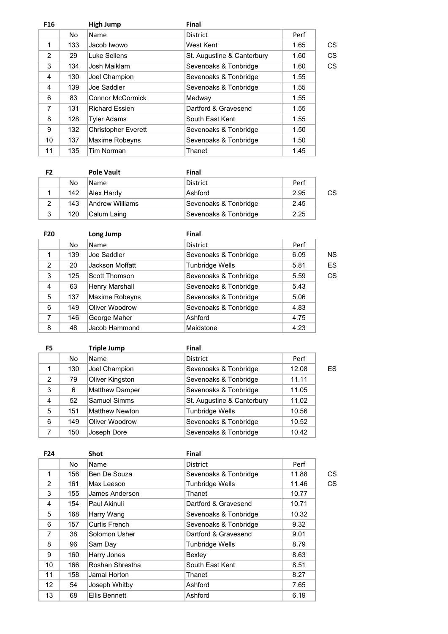| F <sub>16</sub> |     | <b>High Jump</b>           | <b>Final</b>               |      |    |
|-----------------|-----|----------------------------|----------------------------|------|----|
|                 | No  | Name                       | <b>District</b>            | Perf |    |
| 1               | 133 | Jacob Iwowo                | West Kent                  | 1.65 | CS |
| 2               | 29  | Luke Sellens               | St. Augustine & Canterbury | 1.60 | CS |
| 3               | 134 | Josh Maiklam               | Sevenoaks & Tonbridge      | 1.60 | CS |
| 4               | 130 | Joel Champion              | Sevenoaks & Tonbridge      | 1.55 |    |
| 4               | 139 | Joe Saddler                | Sevenoaks & Tonbridge      | 1.55 |    |
| 6               | 83  | <b>Connor McCormick</b>    | Medway                     | 1.55 |    |
| 7               | 131 | <b>Richard Essien</b>      | Dartford & Gravesend       | 1.55 |    |
| 8               | 128 | <b>Tyler Adams</b>         | South East Kent            | 1.55 |    |
| 9               | 132 | <b>Christopher Everett</b> | Sevenoaks & Tonbridge      | 1.50 |    |
| 10              | 137 | Maxime Robeyns             | Sevenoaks & Tonbridge      | 1.50 |    |
| 11              | 135 | Tim Norman                 | Thanet                     | 1.45 |    |
|                 |     |                            |                            |      |    |

| F2 |     | <b>Pole Vault</b> | Final                 |      |    |
|----|-----|-------------------|-----------------------|------|----|
|    | No  | <b>Name</b>       | District              | Perf |    |
|    | 142 | Alex Hardy        | Ashford               | 2.95 | CS |
|    | 143 | Andrew Williams   | Sevenoaks & Tonbridge | 2.45 |    |
| 3  | 120 | Calum Laing       | Sevenoaks & Tonbridge | 2.25 |    |

| <b>F20</b>     |     | Long Jump       | <b>Final</b>           |      |    |
|----------------|-----|-----------------|------------------------|------|----|
|                | No  | <b>Name</b>     | <b>District</b>        | Perf |    |
| 1              | 139 | Joe Saddler     | Sevenoaks & Tonbridge  | 6.09 | ΝS |
| 2              | 20  | Jackson Moffatt | <b>Tunbridge Wells</b> | 5.81 | ES |
| 3              | 125 | Scott Thomson   | Sevenoaks & Tonbridge  | 5.59 | CS |
| $\overline{4}$ | 63  | Henry Marshall  | Sevenoaks & Tonbridge  | 5.43 |    |
| 5              | 137 | Maxime Robeyns  | Sevenoaks & Tonbridge  | 5.06 |    |
| 6              | 149 | Oliver Woodrow  | Sevenoaks & Tonbridge  | 4.83 |    |
| 7              | 146 | George Maher    | Ashford                | 4.75 |    |
| 8              | 48  | Jacob Hammond   | Maidstone              | 4.23 |    |

| F5 |                | <b>Triple Jump</b>    | <b>Final</b>               |       |    |
|----|----------------|-----------------------|----------------------------|-------|----|
|    | N <sub>o</sub> | Name                  | <b>District</b>            | Perf  |    |
| 1  | 130            | Joel Champion         | Sevenoaks & Tonbridge      | 12.08 | ES |
| 2  | 79             | Oliver Kingston       | Sevenoaks & Tonbridge      | 11.11 |    |
| 3  | 6              | Matthew Damper        | Sevenoaks & Tonbridge      | 11.05 |    |
| 4  | 52             | <b>Samuel Simms</b>   | St. Augustine & Canterbury | 11.02 |    |
| 5  | 151            | <b>Matthew Newton</b> | <b>Tunbridge Wells</b>     | 10.56 |    |
| 6  | 149            | Oliver Woodrow        | Sevenoaks & Tonbridge      | 10.52 |    |
| 7  | 150            | Joseph Dore           | Sevenoaks & Tonbridge      | 10.42 |    |

| F <sub>24</sub> |     | <b>Shot</b>          | <b>Final</b>           |       |    |
|-----------------|-----|----------------------|------------------------|-------|----|
|                 | No  | Name                 | <b>District</b>        | Perf  |    |
| 1               | 156 | Ben De Souza         | Sevenoaks & Tonbridge  | 11.88 | СS |
| 2               | 161 | Max Leeson           | <b>Tunbridge Wells</b> | 11.46 | CS |
| 3               | 155 | James Anderson       | Thanet                 | 10.77 |    |
| 4               | 154 | Paul Akinuli         | Dartford & Gravesend   | 10.71 |    |
| 5               | 168 | Harry Wang           | Sevenoaks & Tonbridge  | 10.32 |    |
| 6               | 157 | Curtis French        | Sevenoaks & Tonbridge  | 9.32  |    |
| 7               | 38  | Solomon Usher        | Dartford & Gravesend   | 9.01  |    |
| 8               | 96  | Sam Day              | <b>Tunbridge Wells</b> | 8.79  |    |
| 9               | 160 | Harry Jones          | Bexley                 | 8.63  |    |
| 10              | 166 | Roshan Shrestha      | South East Kent        | 8.51  |    |
| 11              | 158 | Jamal Horton         | Thanet                 | 8.27  |    |
| 12 <sup>°</sup> | 54  | Joseph Whitby        | Ashford                | 7.65  |    |
| 13              | 68  | <b>Ellis Bennett</b> | Ashford                | 6.19  |    |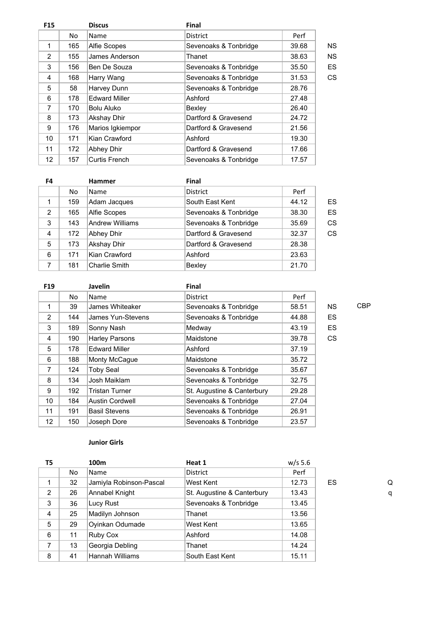| <b>F15</b> |     | <b>Discus</b>        | <b>Final</b>          |       |           |
|------------|-----|----------------------|-----------------------|-------|-----------|
|            | No  | Name                 | <b>District</b>       | Perf  |           |
| 1          | 165 | Alfie Scopes         | Sevenoaks & Tonbridge | 39.68 | <b>NS</b> |
| 2          | 155 | James Anderson       | Thanet                | 38.63 | <b>NS</b> |
| 3          | 156 | Ben De Souza         | Sevenoaks & Tonbridge | 35.50 | ES        |
| 4          | 168 | Harry Wang           | Sevenoaks & Tonbridge | 31.53 | CS        |
| 5          | 58  | Harvey Dunn          | Sevenoaks & Tonbridge | 28.76 |           |
| 6          | 178 | <b>Edward Miller</b> | Ashford               | 27.48 |           |
| 7          | 170 | Bolu Aluko           | Bexley                | 26.40 |           |
| 8          | 173 | <b>Akshay Dhir</b>   | Dartford & Gravesend  | 24.72 |           |
| 9          | 176 | Marios Igkiempor     | Dartford & Gravesend  | 21.56 |           |
| 10         | 171 | Kian Crawford        | Ashford               | 19.30 |           |
| 11         | 172 | Abhey Dhir           | Dartford & Gravesend  | 17.66 |           |
| 12         | 157 | Curtis French        | Sevenoaks & Tonbridge | 17.57 |           |
|            |     |                      |                       |       |           |

| F4 |     | <b>Hammer</b>          | <b>Final</b>          |       |    |
|----|-----|------------------------|-----------------------|-------|----|
|    | No. | <b>Name</b>            | <b>District</b>       | Perf  |    |
| 1  | 159 | Adam Jacques           | South East Kent       | 44.12 | ES |
| 2  | 165 | Alfie Scopes           | Sevenoaks & Tonbridge | 38.30 | ES |
| 3  | 143 | <b>Andrew Williams</b> | Sevenoaks & Tonbridge | 35.69 | CS |
| 4  | 172 | Abhey Dhir             | Dartford & Gravesend  | 32.37 | CS |
| 5  | 173 | Akshay Dhir            | Dartford & Gravesend  | 28.38 |    |
| 6  | 171 | Kian Crawford          | Ashford               | 23.63 |    |
| 7  | 181 | Charlie Smith          | Bexley                | 21.70 |    |

|     | <b>Javelin</b>         | Final                      |       |           |            |
|-----|------------------------|----------------------------|-------|-----------|------------|
| No  | Name                   | <b>District</b>            | Perf  |           |            |
| 39  | James Whiteaker        | Sevenoaks & Tonbridge      | 58.51 | <b>NS</b> | <b>CBP</b> |
| 144 | James Yun-Stevens      | Sevenoaks & Tonbridge      | 44.88 | <b>ES</b> |            |
| 189 | Sonny Nash             | Medway                     | 43.19 | <b>ES</b> |            |
| 190 | <b>Harley Parsons</b>  | Maidstone                  | 39.78 | <b>CS</b> |            |
| 178 | <b>Edward Miller</b>   | Ashford                    | 37.19 |           |            |
| 188 | Monty McCague          | Maidstone                  | 35.72 |           |            |
| 124 | <b>Toby Seal</b>       | Sevenoaks & Tonbridge      | 35.67 |           |            |
| 134 | Josh Maiklam           | Sevenoaks & Tonbridge      | 32.75 |           |            |
| 192 | <b>Tristan Turner</b>  | St. Augustine & Canterbury | 29.28 |           |            |
| 184 | <b>Austin Cordwell</b> | Sevenoaks & Tonbridge      | 27.04 |           |            |
| 191 | <b>Basil Stevens</b>   | Sevenoaks & Tonbridge      | 26.91 |           |            |
| 150 | Joseph Dore            | Sevenoaks & Tonbridge      | 23.57 |           |            |
|     |                        |                            |       |           |            |

## **Junior Girls**

| T5             |    | 100m                    | Heat 1                     | $w/s$ 5.6 |    |   |
|----------------|----|-------------------------|----------------------------|-----------|----|---|
|                | No | Name                    | <b>District</b>            | Perf      |    |   |
|                | 32 | Jamiyla Robinson-Pascal | West Kent                  | 12.73     | ES | Q |
| 2              | 26 | Annabel Knight          | St. Augustine & Canterbury | 13.43     |    | q |
| 3              | 36 | Lucy Rust               | Sevenoaks & Tonbridge      | 13.45     |    |   |
| $\overline{4}$ | 25 | Madilyn Johnson         | Thanet                     | 13.56     |    |   |
| 5              | 29 | Oyinkan Odumade         | West Kent                  | 13.65     |    |   |
| 6              | 11 | Ruby Cox                | Ashford                    | 14.08     |    |   |
| 7              | 13 | Georgia Debling         | Thanet                     | 14.24     |    |   |
| 8              | 41 | Hannah Williams         | South East Kent            | 15.11     |    |   |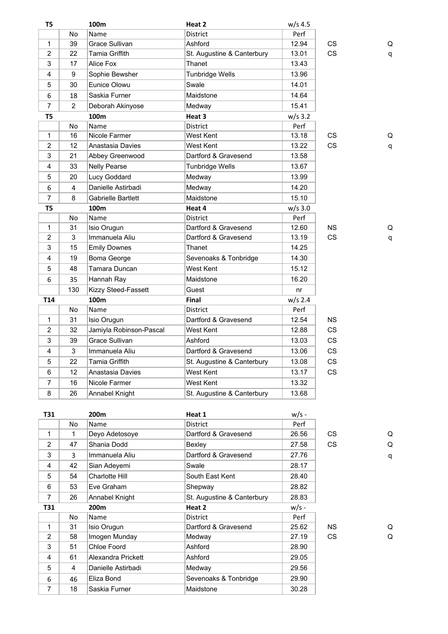| T5              |     | 100m                    | Heat 2                     | $w/s$ 4.5 |           |   |
|-----------------|-----|-------------------------|----------------------------|-----------|-----------|---|
|                 | No  | Name                    | <b>District</b>            | Perf      |           |   |
| $\mathbf{1}$    | 39  | Grace Sullivan          | Ashford                    | 12.94     | CS        | Q |
| $\overline{2}$  | 22  | <b>Tamia Griffith</b>   | St. Augustine & Canterbury | 13.01     | <b>CS</b> | q |
| 3               | 17  | Alice Fox               | Thanet                     | 13.43     |           |   |
| $\overline{4}$  | 9   | Sophie Bewsher          | Tunbridge Wells            | 13.96     |           |   |
| 5               | 30  | Eunice Olowu            | Swale                      | 14.01     |           |   |
| 6               | 18  | Saskia Furner           | Maidstone                  | 14.64     |           |   |
| $\overline{7}$  | 2   | Deborah Akinyose        | Medway                     | 15.41     |           |   |
| T5              |     | 100m                    | Heat 3                     | $w/s$ 3.2 |           |   |
|                 | No  | Name                    | District                   | Perf      |           |   |
| $\mathbf{1}$    | 16  | Nicole Farmer           | West Kent                  | 13.18     | CS        | Q |
| $\overline{2}$  | 12  | Anastasia Davies        | West Kent                  | 13.22     | <b>CS</b> | q |
| 3               | 21  | Abbey Greenwood         | Dartford & Gravesend       | 13.58     |           |   |
| $\overline{4}$  | 33  | <b>Nelly Pearse</b>     | <b>Tunbridge Wells</b>     | 13.67     |           |   |
| 5               | 20  | Lucy Goddard            | Medway                     | 13.99     |           |   |
| 6               | 4   | Danielle Astirbadi      | Medway                     | 14.20     |           |   |
| $\overline{7}$  | 8   | Gabrielle Bartlett      | Maidstone                  | 15.10     |           |   |
| T5              |     | 100m                    | Heat 4                     | $w/s$ 3.0 |           |   |
|                 | No  | Name                    | <b>District</b>            | Perf      |           |   |
| $\mathbf{1}$    | 31  | Isio Orugun             | Dartford & Gravesend       | 12.60     | <b>NS</b> | Q |
| 2               | 3   | Immanuela Aliu          | Dartford & Gravesend       | 13.19     | <b>CS</b> | q |
| 3               | 15  | <b>Emily Downes</b>     | Thanet                     | 14.25     |           |   |
| $\overline{4}$  | 19  | Boma George             | Sevenoaks & Tonbridge      | 14.30     |           |   |
| 5               | 48  | Tamara Duncan           | West Kent                  | 15.12     |           |   |
| 6               | 35  | Hannah Ray              | Maidstone                  | 16.20     |           |   |
|                 | 130 | Kizzy Steed-Fassett     | Guest                      | nr        |           |   |
| T <sub>14</sub> |     | 100m                    | <b>Final</b>               | $w/s$ 2.4 |           |   |
|                 | No  | Name                    | <b>District</b>            | Perf      |           |   |
| $\mathbf{1}$    | 31  | Isio Orugun             | Dartford & Gravesend       | 12.54     | <b>NS</b> |   |
| $\overline{c}$  | 32  | Jamiyla Robinson-Pascal | West Kent                  | 12.88     | CS        |   |
| 3               | 39  | Grace Sullivan          | Ashford                    | 13.03     | <b>CS</b> |   |
| 4               | 3   | Immanuela Aliu          | Dartford & Gravesend       | 13.06     | <b>CS</b> |   |
| 5               | 22  | Tamia Griffith          | St. Augustine & Canterbury | 13.08     | <b>CS</b> |   |
| 6               | 12  | Anastasia Davies        | West Kent                  | 13.17     | <b>CS</b> |   |
| $\overline{7}$  | 16  | Nicole Farmer           | West Kent                  | 13.32     |           |   |
| 8               | 26  | Annabel Knight          | St. Augustine & Canterbury | 13.68     |           |   |
|                 |     |                         |                            |           |           |   |

| T31            |    | 200m               | Heat 1                     | $w/s -$ |           |   |
|----------------|----|--------------------|----------------------------|---------|-----------|---|
|                | No | Name               | <b>District</b>            | Perf    |           |   |
| 1              | 1  | Deyo Adetosoye     | Dartford & Gravesend       | 26.56   | CS.       | Q |
| 2              | 47 | Shania Dodd        | Bexley                     | 27.58   | <b>CS</b> | Q |
| 3              | 3  | Immanuela Aliu     | Dartford & Gravesend       | 27.76   |           | q |
| 4              | 42 | Sian Adeyemi       | Swale                      | 28.17   |           |   |
| 5              | 54 | Charlotte Hill     | South East Kent            | 28.40   |           |   |
| 6              | 53 | Eve Graham         | Shepway                    | 28.82   |           |   |
| $\overline{7}$ | 26 | Annabel Knight     | St. Augustine & Canterbury | 28.83   |           |   |
|                |    |                    | Heat 2                     |         |           |   |
| T31            |    | 200m               |                            | $w/s -$ |           |   |
|                | No | Name               | <b>District</b>            | Perf    |           |   |
| 1              | 31 | Isio Orugun        | Dartford & Gravesend       | 25.62   | NS.       | Q |
| 2              | 58 | Imogen Munday      | Medway                     | 27.19   | CS.       | Q |
| 3              | 51 | Chloe Foord        | Ashford                    | 28.90   |           |   |
| 4              | 61 | Alexandra Prickett | Ashford                    | 29.05   |           |   |
| 5              | 4  | Danielle Astirbadi | Medway                     | 29.56   |           |   |
| 6              | 46 | Eliza Bond         | Sevenoaks & Tonbridge      | 29.90   |           |   |
| 7              | 18 | Saskia Furner      | Maidstone                  | 30.28   |           |   |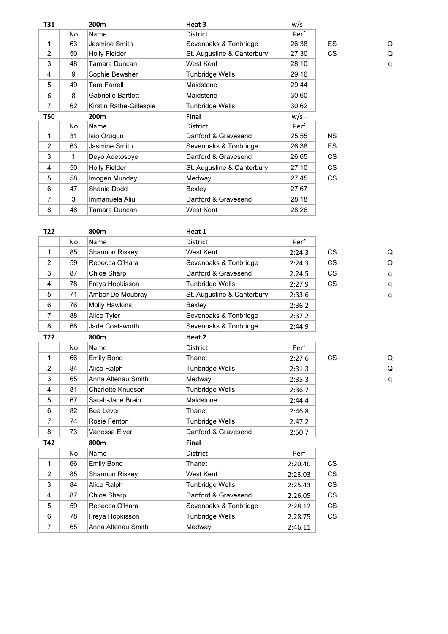| T31            |     | 200m                      | Heat 3                     | $w/s -$ |           |   |
|----------------|-----|---------------------------|----------------------------|---------|-----------|---|
|                | No. | Name                      | <b>District</b>            | Perf    |           |   |
| 1              | 63  | Jasmine Smith             | Sevenoaks & Tonbridge      | 26.38   | <b>ES</b> | Q |
| 2              | 50  | <b>Holly Fielder</b>      | St. Augustine & Canterbury | 27.30   | <b>CS</b> | Q |
| 3              | 48  | Tamara Duncan             | West Kent                  | 28.10   |           | q |
| 4              | 9   | Sophie Bewsher            | <b>Tunbridge Wells</b>     | 29.16   |           |   |
| 5              | 49  | Tara Farrell              | Maidstone                  | 29.44   |           |   |
| 6              | 8   | <b>Gabrielle Bartlett</b> | Maidstone                  | 30.60   |           |   |
| $\overline{7}$ | 62  | Kirstin Rathe-Gillespie   | Tunbridge Wells            | 30.62   |           |   |
| T50            |     | 200m                      | <b>Final</b>               | $w/s -$ |           |   |
|                | No. | Name                      | <b>District</b>            | Perf    |           |   |
| 1              | 31  | Isio Orugun               | Dartford & Gravesend       | 25.55   | <b>NS</b> |   |
| $\overline{2}$ | 63  | Jasmine Smith             | Sevenoaks & Tonbridge      | 26.38   | <b>ES</b> |   |
| 3              | 1   | Deyo Adetosoye            | Dartford & Gravesend       | 26.65   | <b>CS</b> |   |
| 4              | 50  | <b>Holly Fielder</b>      | St. Augustine & Canterbury | 27.10   | <b>CS</b> |   |
| 5              | 58  | Imogen Munday             | Medway                     | 27.45   | <b>CS</b> |   |
| 6              | 47  | Shania Dodd               | Bexley                     | 27.67   |           |   |
| 7              | 3   | Immanuela Aliu            | Dartford & Gravesend       | 28.18   |           |   |
| 8              | 48  | Tamara Duncan             | West Kent                  | 28.26   |           |   |

| T <sub>22</sub> |           | 800m                     | Heat 1                     |         |           |   |
|-----------------|-----------|--------------------------|----------------------------|---------|-----------|---|
|                 | No        | Name                     | <b>District</b>            | Perf    |           |   |
| $\mathbf{1}$    | 85        | Shannon Riskey           | West Kent                  | 2:24.3  | <b>CS</b> | Q |
| $\overline{2}$  | 59        | Rebecca O'Hara           | Sevenoaks & Tonbridge      | 2:24.3  | <b>CS</b> | Q |
| 3               | 87        | Chloe Sharp              | Dartford & Gravesend       | 2:24.5  | <b>CS</b> | q |
| $\overline{4}$  | 78        | Freya Hopkisson          | <b>Tunbridge Wells</b>     | 2:27.9  | <b>CS</b> | q |
| 5               | 71        | Amber De Moubray         | St. Augustine & Canterbury | 2:33.6  |           | q |
| 6               | 76        | <b>Molly Hawkins</b>     | Bexley                     | 2:36.2  |           |   |
| $\overline{7}$  | 88        | Alice Tyler              | Sevenoaks & Tonbridge      | 2:37.2  |           |   |
| 8               | 68        | Jade Coatsworth          | Sevenoaks & Tonbridge      | 2:44.9  |           |   |
| T <sub>22</sub> |           | 800m                     | Heat 2                     |         |           |   |
|                 | No        | Name                     | District                   | Perf    |           |   |
| $\mathbf{1}$    | 66        | <b>Emily Bond</b>        | Thanet                     | 2:27.6  | <b>CS</b> | Q |
| $\overline{2}$  | 84        | Alice Ralph              | Tunbridge Wells            | 2:31.3  |           | Q |
| 3               | 65        | Anna Altenau Smith       | Medway                     | 2:35.3  |           | q |
| 4               | 81        | <b>Charlotte Knudson</b> | <b>Tunbridge Wells</b>     | 2:36.7  |           |   |
| 5               | 67        | Sarah-Jane Brain         | Maidstone                  | 2:44.4  |           |   |
| 6               | 82        | Bea Lever                | Thanet                     | 2:46.8  |           |   |
| $\overline{7}$  | 74        | Rosie Fenton             | Tunbridge Wells            | 2:47.2  |           |   |
| 8               | 73        | Vanessa Elver            | Dartford & Gravesend       | 2:50.7  |           |   |
| T42             |           | 800m                     | Final                      |         |           |   |
|                 | <b>No</b> | Name                     | <b>District</b>            | Perf    |           |   |
| $\mathbf{1}$    | 66        | <b>Emily Bond</b>        | Thanet                     | 2:20.40 | <b>CS</b> |   |
| 2               | 85        | Shannon Riskey           | West Kent                  | 2:23.03 | <b>CS</b> |   |
| 3               | 84        | Alice Ralph              | <b>Tunbridge Wells</b>     | 2:25.43 | <b>CS</b> |   |
| $\overline{4}$  | 87        | Chloe Sharp              | Dartford & Gravesend       | 2:26.05 | <b>CS</b> |   |
| 5               | 59        | Rebecca O'Hara           | Sevenoaks & Tonbridge      | 2:28.12 | <b>CS</b> |   |
| 6               | 78        | Freya Hopkisson          | <b>Tunbridge Wells</b>     | 2:28.75 | <b>CS</b> |   |
| $\overline{7}$  | 65        | Anna Altenau Smith       | Medway                     | 2:46.11 |           |   |
|                 |           |                          |                            |         |           |   |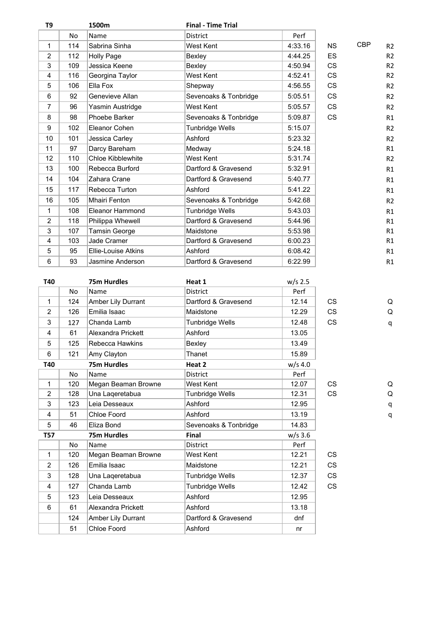| T <sub>9</sub>   |           | 1500m                | <b>Final - Time Trial</b> |           |           |            |                |
|------------------|-----------|----------------------|---------------------------|-----------|-----------|------------|----------------|
|                  | <b>No</b> | Name                 | <b>District</b>           | Perf      |           |            |                |
| 1                | 114       | Sabrina Sinha        | West Kent                 | 4:33.16   | <b>NS</b> | <b>CBP</b> | R <sub>2</sub> |
| $\overline{2}$   | 112       | <b>Holly Page</b>    | Bexley                    | 4:44.25   | ES        |            | R <sub>2</sub> |
| 3                | 109       | Jessica Keene        | Bexley                    | 4:50.94   | <b>CS</b> |            | R <sub>2</sub> |
| $\overline{4}$   | 116       | Georgina Taylor      | West Kent                 | 4:52.41   | <b>CS</b> |            | R <sub>2</sub> |
| 5                | 106       | Ella Fox             | Shepway                   | 4:56.55   | <b>CS</b> |            | R <sub>2</sub> |
| 6                | 92        | Genevieve Allan      | Sevenoaks & Tonbridge     | 5:05.51   | <b>CS</b> |            | R <sub>2</sub> |
| $\overline{7}$   | 96        | Yasmin Austridge     | West Kent                 | 5:05.57   | CS        |            | R <sub>2</sub> |
| 8                | 98        | Phoebe Barker        | Sevenoaks & Tonbridge     | 5:09.87   | CS        |            | R1             |
| $\boldsymbol{9}$ | 102       | Eleanor Cohen        | Tunbridge Wells           | 5:15.07   |           |            | R <sub>2</sub> |
| 10               | 101       | Jessica Carley       | Ashford                   | 5:23.32   |           |            | R <sub>2</sub> |
| 11               | 97        | Darcy Bareham        | Medway                    | 5:24.18   |           |            | R1             |
| 12               | 110       | Chloe Kibblewhite    | West Kent                 | 5:31.74   |           |            | R <sub>2</sub> |
| 13               | 100       | Rebecca Burford      | Dartford & Gravesend      | 5:32.91   |           |            | R1             |
| 14               | 104       | Zahara Crane         | Dartford & Gravesend      | 5:40.77   |           |            | R1             |
| 15               | 117       | Rebecca Turton       | Ashford                   | 5:41.22   |           |            | R1             |
| 16               | 105       | <b>Mhairi Fenton</b> | Sevenoaks & Tonbridge     | 5:42.68   |           |            | R <sub>2</sub> |
| 1                | 108       | Eleanor Hammond      | <b>Tunbridge Wells</b>    | 5:43.03   |           |            | R1             |
| $\overline{c}$   | 118       | Philippa Whewell     | Dartford & Gravesend      | 5:44.96   |           |            | R1             |
| 3                | 107       | Tamsin George        | Maidstone                 | 5:53.98   |           |            | R1             |
| 4                | 103       | Jade Cramer          | Dartford & Gravesend      | 6:00.23   |           |            | R1             |
| 5                | 95        | Ellie-Louise Atkins  | Ashford                   | 6:08.42   |           |            | R1             |
| 6                | 93        | Jasmine Anderson     | Dartford & Gravesend      | 6:22.99   |           |            | R1             |
|                  |           |                      |                           |           |           |            |                |
| T40              |           | <b>75m Hurdles</b>   | Heat 1                    | $w/s$ 2.5 |           |            |                |
|                  | <b>No</b> | Name                 | District                  | Perf      |           |            |                |
| 1                | 124       | Amber Lily Durrant   | Dartford & Gravesend      | 12.14     | <b>CS</b> |            | Q              |
| $\overline{2}$   | 126       | Emilia Isaac         | Maidstone                 | 12.29     | <b>CS</b> |            | Q              |
| 3                | 127       | Chanda Lamb          | Tunbridge Wells           | 12.48     | <b>CS</b> |            | $\mathsf q$    |
| $\overline{4}$   | 61        | Alexandra Prickett   | Ashford                   | 13.05     |           |            |                |
| 5                | 125       | Rebecca Hawkins      | Bexley                    | 13.49     |           |            |                |
| 6                | 121       | Amy Clayton          | Thanet                    | 15.89     |           |            |                |
| T40              |           | 75m Hurdles          | Heat 2                    | $w/s$ 4.0 |           |            |                |
|                  | No        | Name                 | District                  | Perf      |           |            |                |
| $\mathbf{1}$     | 120       | Megan Beaman Browne  | West Kent                 | 12.07     | CS        |            | Q              |
| $\overline{2}$   | 128       | Una Laqeretabua      | Tunbridge Wells           | 12.31     | <b>CS</b> |            | Q              |
| 3                | 123       | Leia Desseaux        | Ashford                   | 12.95     |           |            | q              |
| 4                | 51        | Chloe Foord          | Ashford                   | 13.19     |           |            | q              |
| 5                | 46        | Eliza Bond           | Sevenoaks & Tonbridge     | 14.83     |           |            |                |
| <b>T57</b>       |           | 75m Hurdles          | Final                     | $w/s$ 3.6 |           |            |                |
|                  | No        | Name                 | District                  | Perf      |           |            |                |
| 1                |           |                      |                           | 12.21     | CS        |            |                |
|                  | 120       | Megan Beaman Browne  | West Kent                 |           |           |            |                |
| $\overline{c}$   | 126       | Emilia Isaac         | Maidstone                 | 12.21     | CS        |            |                |
| 3                | 128       | Una Laqeretabua      | <b>Tunbridge Wells</b>    | 12.37     | CS        |            |                |
| 4                | 127       | Chanda Lamb          | Tunbridge Wells           | 12.42     | CS        |            |                |
| 5                | 123       | Leia Desseaux        | Ashford                   | 12.95     |           |            |                |
| 6                | 61        | Alexandra Prickett   | Ashford                   | 13.18     |           |            |                |
|                  | 124       | Amber Lily Durrant   | Dartford & Gravesend      | dnf       |           |            |                |
|                  | 51        | Chloe Foord          | Ashford                   | nr        |           |            |                |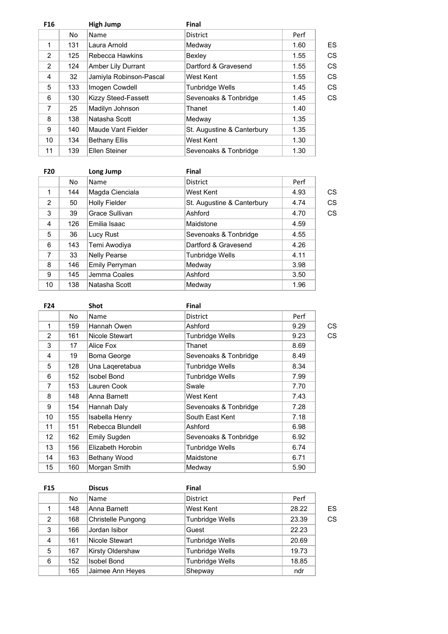| F <sub>16</sub> |     | High Jump               | Final                      |      |    |
|-----------------|-----|-------------------------|----------------------------|------|----|
|                 | No  | Name                    | <b>District</b>            | Perf |    |
| 1               | 131 | Laura Arnold            | Medway                     | 1.60 | ES |
| 2               | 125 | Rebecca Hawkins         | Bexley                     | 1.55 | CS |
| $\overline{2}$  | 124 | Amber Lily Durrant      | Dartford & Gravesend       | 1.55 | CS |
| 4               | 32  | Jamiyla Robinson-Pascal | West Kent                  | 1.55 | CS |
| 5               | 133 | Imogen Cowdell          | <b>Tunbridge Wells</b>     | 1.45 | CS |
| 6               | 130 | Kizzy Steed-Fassett     | Sevenoaks & Tonbridge      | 1.45 | CS |
| 7               | 25  | Madilyn Johnson         | Thanet                     | 1.40 |    |
| 8               | 138 | Natasha Scott           | Medway                     | 1.35 |    |
| 9               | 140 | Maude Vant Fielder      | St. Augustine & Canterbury | 1.35 |    |
| 10              | 134 | <b>Bethany Ellis</b>    | West Kent                  | 1.30 |    |
| 11              | 139 | Ellen Steiner           | Sevenoaks & Tonbridge      | 1.30 |    |

| <b>F20</b> |     | Long Jump            | <b>Final</b>               |      |    |
|------------|-----|----------------------|----------------------------|------|----|
|            | No  | Name                 | <b>District</b>            | Perf |    |
| 1          | 144 | Magda Cienciala      | West Kent                  | 4.93 | CS |
| 2          | 50  | <b>Holly Fielder</b> | St. Augustine & Canterbury | 4.74 | CS |
| 3          | 39  | Grace Sullivan       | Ashford                    | 4.70 | CS |
| 4          | 126 | Emilia Isaac         | Maidstone                  | 4.59 |    |
| 5          | 36  | Lucy Rust            | Sevenoaks & Tonbridge      | 4.55 |    |
| 6          | 143 | Temi Awodiya         | Dartford & Gravesend       | 4.26 |    |
| 7          | 33  | <b>Nelly Pearse</b>  | <b>Tunbridge Wells</b>     | 4.11 |    |
| 8          | 146 | Emily Perryman       | Medway                     | 3.98 |    |
| 9          | 145 | Jemma Coales         | Ashford                    | 3.50 |    |
| 10         | 138 | Natasha Scott        | Medway                     | 1.96 |    |

F24 Shot Final

÷.

| CS |
|----|
|    |
| CS |
|    |
|    |
|    |
|    |
|    |
|    |
|    |
|    |
|    |
|    |
|    |
|    |
|    |
|    |

| <b>F15</b> |     | <b>Discus</b>      | <b>Final</b>           |       |    |
|------------|-----|--------------------|------------------------|-------|----|
|            | No. | <b>Name</b>        | <b>District</b>        | Perf  |    |
|            | 148 | Anna Barnett       | West Kent              | 28.22 | ES |
| 2          | 168 | Christelle Pungong | Tunbridge Wells        | 23.39 | CS |
| 3          | 166 | Jordan Isibor      | Guest                  | 22.23 |    |
| 4          | 161 | Nicole Stewart     | <b>Tunbridge Wells</b> | 20.69 |    |
| 5          | 167 | Kirsty Oldershaw   | Tunbridge Wells        | 19.73 |    |
| 6          | 152 | <b>Isobel Bond</b> | <b>Tunbridge Wells</b> | 18.85 |    |
|            | 165 | Jaimee Ann Heyes   | Shepway                | ndr   |    |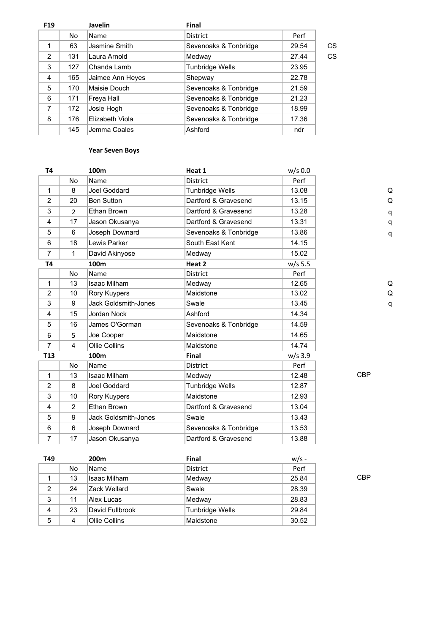| F <sub>19</sub> |     | <b>Javelin</b>   | <b>Final</b>          |       |    |
|-----------------|-----|------------------|-----------------------|-------|----|
|                 | No  | <b>Name</b>      | <b>District</b>       | Perf  |    |
| 1               | 63  | Jasmine Smith    | Sevenoaks & Tonbridge | 29.54 | CS |
| 2               | 131 | Laura Arnold     | Medway                | 27.44 | CS |
| 3               | 127 | Chanda Lamb      | Tunbridge Wells       | 23.95 |    |
| 4               | 165 | Jaimee Ann Heyes | Shepway               | 22.78 |    |
| 5               | 170 | Maisie Douch     | Sevenoaks & Tonbridge | 21.59 |    |
| 6               | 171 | Freya Hall       | Sevenoaks & Tonbridge | 21.23 |    |
| 7               | 172 | Josie Hogh       | Sevenoaks & Tonbridge | 18.99 |    |
| 8               | 176 | Elizabeth Viola  | Sevenoaks & Tonbridge | 17.36 |    |
|                 | 145 | Jemma Coales     | Ashford               | ndr   |    |

### **Year Seven Boys**

| T <sub>4</sub>  |                | 100 <sub>m</sub>            | Heat 1                | $w/s$ 0.0 |            |   |
|-----------------|----------------|-----------------------------|-----------------------|-----------|------------|---|
|                 | No             | Name                        | District              | Perf      |            |   |
| 1               | 8              | Joel Goddard                | Tunbridge Wells       | 13.08     |            | Q |
| 2               | 20             | <b>Ben Sutton</b>           | Dartford & Gravesend  | 13.15     |            | Q |
| 3               | $\overline{2}$ | Ethan Brown                 | Dartford & Gravesend  | 13.28     |            | q |
| 4               | 17             | Jason Okusanya              | Dartford & Gravesend  | 13.31     |            | q |
| 5               | 6              | Joseph Downard              | Sevenoaks & Tonbridge | 13.86     |            | q |
| 6               | 18             | Lewis Parker                | South East Kent       | 14.15     |            |   |
| $\overline{7}$  | 1              | David Akinyose              | Medway                | 15.02     |            |   |
| <b>T4</b>       |                | 100m                        | Heat 2                | $w/s$ 5.5 |            |   |
|                 | No.            | Name                        | <b>District</b>       | Perf      |            |   |
| 1               | 13             | <b>Isaac Milham</b>         | Medway                | 12.65     |            | Q |
| $\overline{2}$  | 10             | Rory Kuypers                | Maidstone             | 13.02     |            | Q |
| 3               | 9              | <b>Jack Goldsmith-Jones</b> | Swale                 | 13.45     |            | q |
| 4               | 15             | Jordan Nock                 | Ashford               | 14.34     |            |   |
| 5               | 16             | James O'Gorman              | Sevenoaks & Tonbridge | 14.59     |            |   |
| 6               | 5              | Joe Cooper                  | Maidstone             | 14.65     |            |   |
| $\overline{7}$  | 4              | Ollie Collins               | Maidstone             | 14.74     |            |   |
| T <sub>13</sub> |                | 100m                        | <b>Final</b>          | $w/s$ 3.9 |            |   |
|                 | N <sub>o</sub> | Name                        | <b>District</b>       | Perf      |            |   |
| 1               | 13             | <b>Isaac Milham</b>         | Medway                | 12.48     | <b>CBP</b> |   |
| 2               | 8              | Joel Goddard                | Tunbridge Wells       | 12.87     |            |   |
| 3               | 10             | Rory Kuypers                | Maidstone             | 12.93     |            |   |
| 4               | $\overline{2}$ | Ethan Brown                 | Dartford & Gravesend  | 13.04     |            |   |
| 5               | 9              | <b>Jack Goldsmith-Jones</b> | Swale                 | 13.43     |            |   |
| 6               | 6              | Joseph Downard              | Sevenoaks & Tonbridge | 13.53     |            |   |
| 7               | 17             | Jason Okusanya              | Dartford & Gravesend  | 13.88     |            |   |

**T49 200m Final** w/s - No Name District Perf 1 13 Isaac Milham Medway 25.84 CBP 2 28.39 3 11 Alex Lucas Medway 28.83 4 23 David Fullbrook Tunbridge Wells 29.84 5 4 Ollie Collins Maidstone 30.52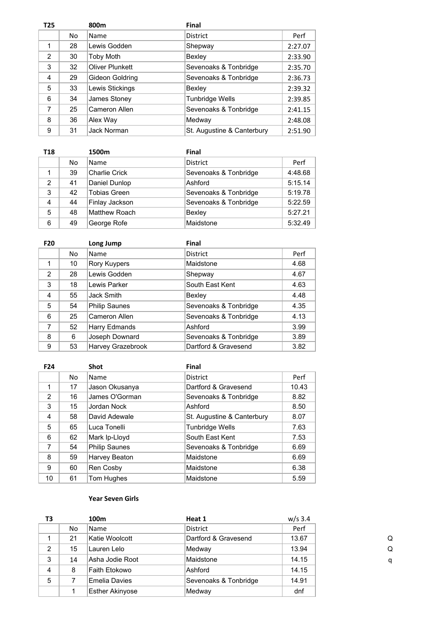| T <sub>25</sub> |     | 800m             | <b>Final</b>               |         |
|-----------------|-----|------------------|----------------------------|---------|
|                 | No. | <b>Name</b>      | <b>District</b>            | Perf    |
| 1               | 28  | Lewis Godden     | Shepway                    | 2:27.07 |
| 2               | 30  | <b>Toby Moth</b> | Bexley                     | 2:33.90 |
| 3               | 32  | Oliver Plunkett  | Sevenoaks & Tonbridge      | 2:35.70 |
| 4               | 29  | Gideon Goldring  | Sevenoaks & Tonbridge      | 2:36.73 |
| 5               | 33  | Lewis Stickings  | Bexley                     | 2:39.32 |
| 6               | 34  | James Stoney     | Tunbridge Wells            | 2:39.85 |
| 7               | 25  | Cameron Allen    | Sevenoaks & Tonbridge      | 2:41.15 |
| 8               | 36  | Alex Way         | Medway                     | 2:48.08 |
| 9               | 31  | Jack Norman      | St. Augustine & Canterbury | 2:51.90 |

| T18            |     | 1500m                | <b>Final</b>          |         |
|----------------|-----|----------------------|-----------------------|---------|
|                | No. | Name                 | <b>District</b>       | Perf    |
|                | 39  | <b>Charlie Crick</b> | Sevenoaks & Tonbridge | 4:48.68 |
| 2              | 41  | Daniel Dunlop        | Ashford               | 5:15.14 |
| 3              | 42  | <b>Tobias Green</b>  | Sevenoaks & Tonbridge | 5:19.78 |
| $\overline{4}$ | 44  | Finlay Jackson       | Sevenoaks & Tonbridge | 5:22.59 |
| 5              | 48  | <b>Matthew Roach</b> | Bexley                | 5:27.21 |
| 6              | 49  | George Rofe          | Maidstone             | 5:32.49 |

| F <sub>20</sub> |    | Long Jump            | <b>Final</b>          |      |
|-----------------|----|----------------------|-----------------------|------|
|                 | No | Name                 | <b>District</b>       | Perf |
| 1               | 10 | <b>Rory Kuypers</b>  | Maidstone             | 4.68 |
| 2               | 28 | Lewis Godden         | Shepway               | 4.67 |
| 3               | 18 | Lewis Parker         | South East Kent       | 4.63 |
| 4               | 55 | Jack Smith           | Bexley                | 4.48 |
| 5               | 54 | <b>Philip Saunes</b> | Sevenoaks & Tonbridge | 4.35 |
| 6               | 25 | Cameron Allen        | Sevenoaks & Tonbridge | 4.13 |
| 7               | 52 | Harry Edmands        | Ashford               | 3.99 |
| 8               | 6  | Joseph Downard       | Sevenoaks & Tonbridge | 3.89 |
| 9               | 53 | Harvey Grazebrook    | Dartford & Gravesend  | 3.82 |

| F <sub>24</sub> |    | <b>Shot</b>          | Final                      |       |
|-----------------|----|----------------------|----------------------------|-------|
|                 | No | Name                 | <b>District</b>            | Perf  |
| 1               | 17 | Jason Okusanya       | Dartford & Gravesend       | 10.43 |
| 2               | 16 | James O'Gorman       | Sevenoaks & Tonbridge      | 8.82  |
| 3               | 15 | Jordan Nock          | Ashford                    | 8.50  |
| 4               | 58 | David Adewale        | St. Augustine & Canterbury | 8.07  |
| 5               | 65 | Luca Tonelli         | <b>Tunbridge Wells</b>     | 7.63  |
| 6               | 62 | Mark Ip-Lloyd        | South East Kent            | 7.53  |
| 7               | 54 | <b>Philip Saunes</b> | Sevenoaks & Tonbridge      | 6.69  |
| 8               | 59 | Harvey Beaton        | Maidstone                  | 6.69  |
| 9               | 60 | Ren Cosby            | Maidstone                  | 6.38  |
| 10              | 61 | Tom Hughes           | Maidstone                  | 5.59  |

### **Year Seven Girls**

| ТЗ             |     | 100m                   | Heat 1                | $w/s$ 3.4 |   |
|----------------|-----|------------------------|-----------------------|-----------|---|
|                | No. | <b>Name</b>            | District              | Perf      |   |
|                | 21  | Katie Woolcott         | Dartford & Gravesend  | 13.67     | Q |
| $\overline{2}$ | 15  | Lauren Lelo            | Medway                | 13.94     | Q |
| 3              | 14  | Asha Jodie Root        | Maidstone             | 14.15     | q |
| 4              | 8   | Faith Etokowo          | Ashford               | 14.15     |   |
| 5              |     | Emelia Davies          | Sevenoaks & Tonbridge | 14.91     |   |
|                |     | <b>Esther Akinyose</b> | Medway                | dnf       |   |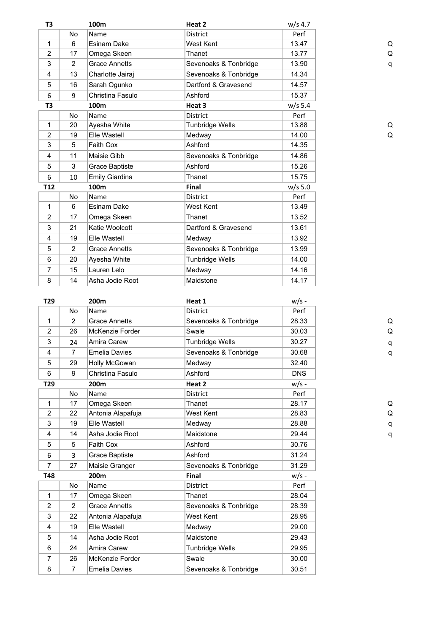| T3              |                | 100m                 | Heat 2                 | w/s 4.7   |
|-----------------|----------------|----------------------|------------------------|-----------|
|                 | <b>No</b>      | Name                 | <b>District</b>        | Perf      |
| 1               | 6              | Esinam Dake          | West Kent              | 13.47     |
| $\overline{2}$  | 17             | Omega Skeen          | Thanet                 | 13.77     |
| 3               | $\overline{2}$ | <b>Grace Annetts</b> | Sevenoaks & Tonbridge  | 13.90     |
| 4               | 13             | Charlotte Jairaj     | Sevenoaks & Tonbridge  | 14.34     |
| 5               | 16             | Sarah Ogunko         | Dartford & Gravesend   | 14.57     |
| 6               | 9              | Christina Fasulo     | Ashford                | 15.37     |
| T3              |                | 100m                 | Heat 3                 | $w/s$ 5.4 |
|                 | <b>No</b>      | Name                 | <b>District</b>        | Perf      |
| 1               | 20             | Ayesha White         | <b>Tunbridge Wells</b> | 13.88     |
| 2               | 19             | Elle Wastell         | Medway                 | 14.00     |
| 3               | 5              | Faith Cox            | Ashford                | 14.35     |
| 4               | 11             | Maisie Gibb          | Sevenoaks & Tonbridge  | 14.86     |
| 5               | 3              | Grace Baptiste       | Ashford                | 15.26     |
| 6               | 10             | Emily Giardina       | Thanet                 | 15.75     |
| T <sub>12</sub> |                | 100m                 | Final                  | $w/s$ 5.0 |
|                 | No             | Name                 | <b>District</b>        | Perf      |
| 1               | 6              | Esinam Dake          | West Kent              | 13.49     |
| $\overline{2}$  | 17             | Omega Skeen          | Thanet                 | 13.52     |
| 3               | 21             | Katie Woolcott       | Dartford & Gravesend   | 13.61     |
| 4               | 19             | Elle Wastell         | Medway                 | 13.92     |
| 5               | 2              | <b>Grace Annetts</b> | Sevenoaks & Tonbridge  | 13.99     |
| 6               | 20             | Ayesha White         | <b>Tunbridge Wells</b> | 14.00     |
| $\overline{7}$  | 15             | Lauren Lelo          | Medway                 | 14.16     |
| 8               | 14             | Asha Jodie Root      | Maidstone              | 14.17     |
|                 |                |                      |                        |           |

| T <sub>29</sub> |                | 200m                 | Heat 1                 | $w/s -$    |   |
|-----------------|----------------|----------------------|------------------------|------------|---|
|                 | No             | Name                 | District               | Perf       |   |
| 1               | $\overline{2}$ | <b>Grace Annetts</b> | Sevenoaks & Tonbridge  | 28.33      | Q |
| $\overline{2}$  | 26             | McKenzie Forder      | Swale                  | 30.03      | Q |
| 3               | 24             | Amira Carew          | <b>Tunbridge Wells</b> | 30.27      | q |
| 4               | $\overline{7}$ | <b>Emelia Davies</b> | Sevenoaks & Tonbridge  | 30.68      | q |
| 5               | 29             | Holly McGowan        | Medway                 | 32.40      |   |
| 6               | 9              | Christina Fasulo     | Ashford                | <b>DNS</b> |   |
| T29             |                | 200m                 | Heat 2                 | $w/s -$    |   |
|                 | No             | Name                 | District               | Perf       |   |
| 1               | 17             | Omega Skeen          | Thanet                 | 28.17      | Q |
| $\overline{2}$  | 22             | Antonia Alapafuja    | West Kent              | 28.83      | Q |
| 3               | 19             | Elle Wastell         | Medway                 | 28.88      | q |
| 4               | 14             | Asha Jodie Root      | Maidstone              | 29.44      | q |
| 5               | 5              | Faith Cox            | Ashford                | 30.76      |   |
| 6               | 3              | Grace Baptiste       | Ashford                | 31.24      |   |
| $\overline{7}$  | 27             | Maisie Granger       | Sevenoaks & Tonbridge  | 31.29      |   |
| T48             |                | 200m                 | <b>Final</b>           | $w/s -$    |   |
|                 | <b>No</b>      | Name                 | <b>District</b>        | Perf       |   |
| 1               | 17             | Omega Skeen          | Thanet                 | 28.04      |   |
| $\overline{2}$  | $\overline{2}$ | <b>Grace Annetts</b> | Sevenoaks & Tonbridge  | 28.39      |   |
| 3               | 22             | Antonia Alapafuja    | West Kent              | 28.95      |   |
| 4               | 19             | Elle Wastell         | Medway                 | 29.00      |   |
| 5               | 14             | Asha Jodie Root      | Maidstone              | 29.43      |   |
| 6               | 24             | Amira Carew          | <b>Tunbridge Wells</b> | 29.95      |   |
| 7               | 26             | McKenzie Forder      | Swale                  | 30.00      |   |
| 8               | 7              | <b>Emelia Davies</b> | Sevenoaks & Tonbridge  | 30.51      |   |
|                 |                |                      |                        |            |   |